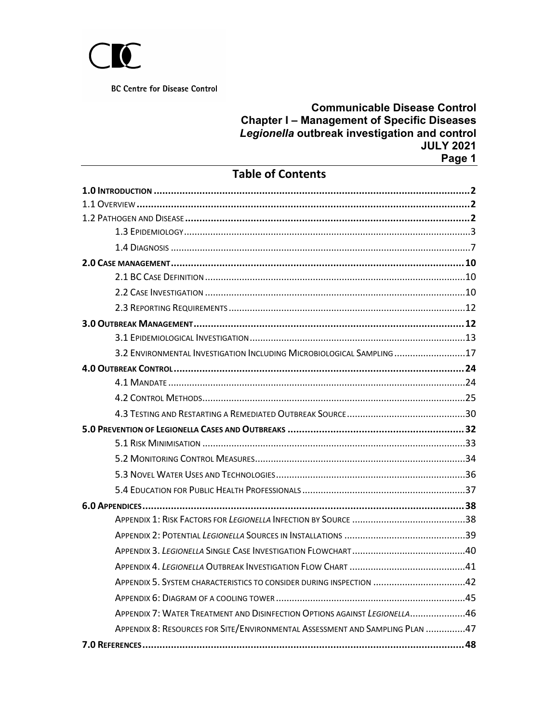

## **Communicable Disease Control Chapter I – Management of Specific Diseases** *Legionella* **outbreak investigation and control JULY 2021 Page 1**

# **Table of Contents**

| 3.2 ENVIRONMENTAL INVESTIGATION INCLUDING MICROBIOLOGICAL SAMPLING 17        |
|------------------------------------------------------------------------------|
|                                                                              |
|                                                                              |
|                                                                              |
|                                                                              |
|                                                                              |
|                                                                              |
|                                                                              |
|                                                                              |
|                                                                              |
|                                                                              |
|                                                                              |
|                                                                              |
|                                                                              |
|                                                                              |
| APPENDIX 5. SYSTEM CHARACTERISTICS TO CONSIDER DURING INSPECTION 42          |
|                                                                              |
| APPENDIX 7: WATER TREATMENT AND DISINFECTION OPTIONS AGAINST LEGIONELLA46    |
| APPENDIX 8: RESOURCES FOR SITE/ENVIRONMENTAL ASSESSMENT AND SAMPLING PLAN 47 |
|                                                                              |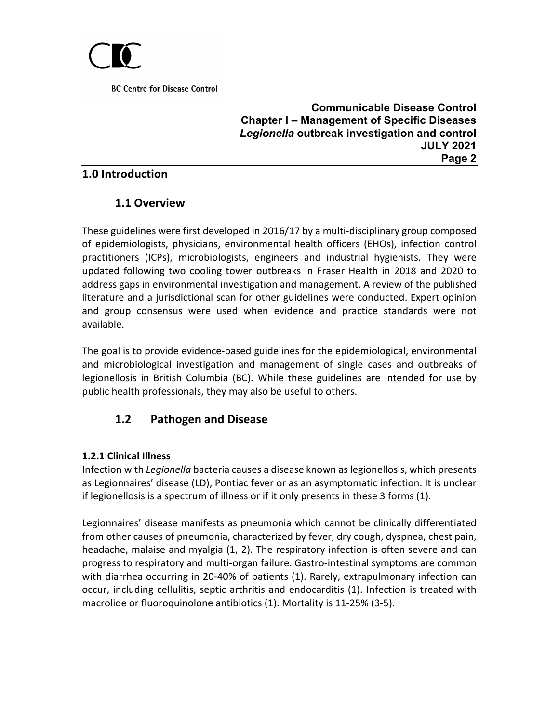

**Communicable Disease Control Chapter I – Management of Specific Diseases** *Legionella* **outbreak investigation and control JULY 2021 Page 2**

# <span id="page-1-1"></span><span id="page-1-0"></span>**1.0 Introduction**

# **1.1 Overview**

These guidelines were first developed in 2016/17 by a multi-disciplinary group composed of epidemiologists, physicians, environmental health officers (EHOs), infection control practitioners (ICPs), microbiologists, engineers and industrial hygienists. They were updated following two cooling tower outbreaks in Fraser Health in 2018 and 2020 to address gaps in environmental investigation and management. A review of the published literature and a jurisdictional scan for other guidelines were conducted. Expert opinion and group consensus were used when evidence and practice standards were not available.

The goal is to provide evidence-based guidelines for the epidemiological, environmental and microbiological investigation and management of single cases and outbreaks of legionellosis in British Columbia (BC). While these guidelines are intended for use by public health professionals, they may also be useful to others.

# <span id="page-1-2"></span>**1.2 Pathogen and Disease**

# **1.2.1 Clinical Illness**

Infection with *Legionella* bacteria causes a disease known as legionellosis, which presents as Legionnaires' disease (LD), Pontiac fever or as an asymptomatic infection. It is unclear if legionellosis is a spectrum of illness or if it only presents in these 3 forms (1).

Legionnaires' disease manifests as pneumonia which cannot be clinically differentiated from other causes of pneumonia, characterized by fever, dry cough, dyspnea, chest pain, headache, malaise and myalgia (1, 2). The respiratory infection is often severe and can progress to respiratory and multi-organ failure. Gastro-intestinal symptoms are common with diarrhea occurring in 20-40% of patients (1). Rarely, extrapulmonary infection can occur, including cellulitis, septic arthritis and endocarditis (1). Infection is treated with macrolide or fluoroquinolone antibiotics (1). Mortality is 11-25% (3-5).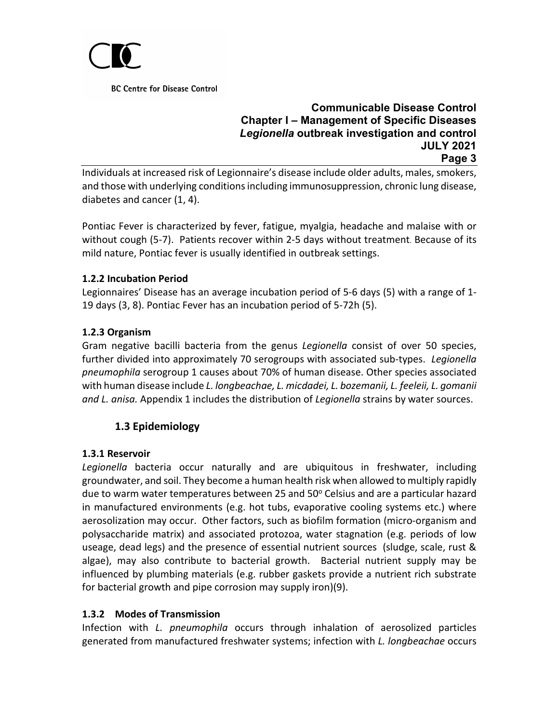

### **Communicable Disease Control Chapter I – Management of Specific Diseases** *Legionella* **outbreak investigation and control JULY 2021 Page 3**

Individuals at increased risk of Legionnaire's disease include older adults, males, smokers, and those with underlying conditions including immunosuppression, chronic lung disease, diabetes and cancer (1, 4).

Pontiac Fever is characterized by fever, fatigue, myalgia, headache and malaise with or without cough (5-7). Patients recover within 2-5 days without treatment. Because of its mild nature, Pontiac fever is usually identified in outbreak settings.

## **1.2.2 Incubation Period**

Legionnaires' Disease has an average incubation period of 5-6 days (5) with a range of 1- 19 days (3, 8). Pontiac Fever has an incubation period of 5-72h (5).

## **1.2.3 Organism**

Gram negative bacilli bacteria from the genus *Legionella* consist of over 50 species, further divided into approximately 70 serogroups with associated sub-types. *Legionella pneumophila* serogroup 1 causes about 70% of human disease. Other species associated with human disease include *L. longbeachae, L. micdadei, L. bozemanii, L. feeleii, L. gomanii and L. anisa.* Appendix 1 includes the distribution of *Legionella* strains by water sources.

# <span id="page-2-0"></span>**1.3 Epidemiology**

### **1.3.1 Reservoir**

*Legionella* bacteria occur naturally and are ubiquitous in freshwater, including groundwater, and soil. They become a human health risk when allowed to multiply rapidly due to warm water temperatures between 25 and 50 $^{\circ}$  Celsius and are a particular hazard in manufactured environments (e.g. hot tubs, evaporative cooling systems etc.) where aerosolization may occur. Other factors, such as biofilm formation (micro-organism and polysaccharide matrix) and associated protozoa, water stagnation (e.g. periods of low useage, dead legs) and the presence of essential nutrient sources (sludge, scale, rust & algae), may also contribute to bacterial growth. Bacterial nutrient supply may be influenced by plumbing materials (e.g. rubber gaskets provide a nutrient rich substrate for bacterial growth and pipe corrosion may supply iron)(9).

### **1.3.2 Modes of Transmission**

Infection with *L. pneumophila* occurs through inhalation of aerosolized particles generated from manufactured freshwater systems; infection with *L. longbeachae* occurs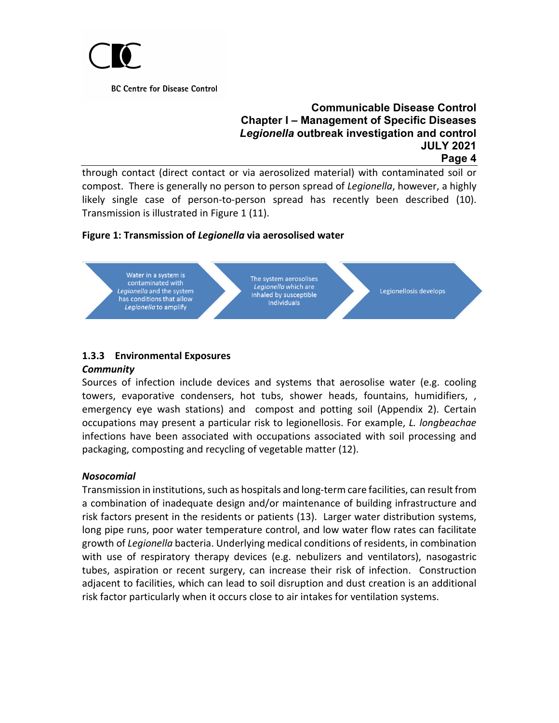

### **Communicable Disease Control Chapter I – Management of Specific Diseases** *Legionella* **outbreak investigation and control JULY 2021 Page 4**

through contact (direct contact or via aerosolized material) with contaminated soil or compost. There is generally no person to person spread of *Legionella*, however, a highly likely single case of person-to-person spread has recently been described (10). Transmission is illustrated in Figure 1 (11).

### **Figure 1: Transmission of** *Legionella* **via aerosolised water**



# **1.3.3 Environmental Exposures**

#### *Community*

Sources of infection include devices and systems that aerosolise water (e.g. cooling towers, evaporative condensers, hot tubs, shower heads, fountains, humidifiers, , emergency eye wash stations) and compost and potting soil (Appendix 2). Certain occupations may present a particular risk to legionellosis. For example, *L. longbeachae* infections have been associated with occupations associated with soil processing and packaging, composting and recycling of vegetable matter (12).

### *Nosocomial*

Transmission in institutions, such as hospitals and long-term care facilities, can result from a combination of inadequate design and/or maintenance of building infrastructure and risk factors present in the residents or patients (13). Larger water distribution systems, long pipe runs, poor water temperature control, and low water flow rates can facilitate growth of *Legionella* bacteria. Underlying medical conditions of residents, in combination with use of respiratory therapy devices (e.g. nebulizers and ventilators), nasogastric tubes, aspiration or recent surgery, can increase their risk of infection. Construction adjacent to facilities, which can lead to soil disruption and dust creation is an additional risk factor particularly when it occurs close to air intakes for ventilation systems.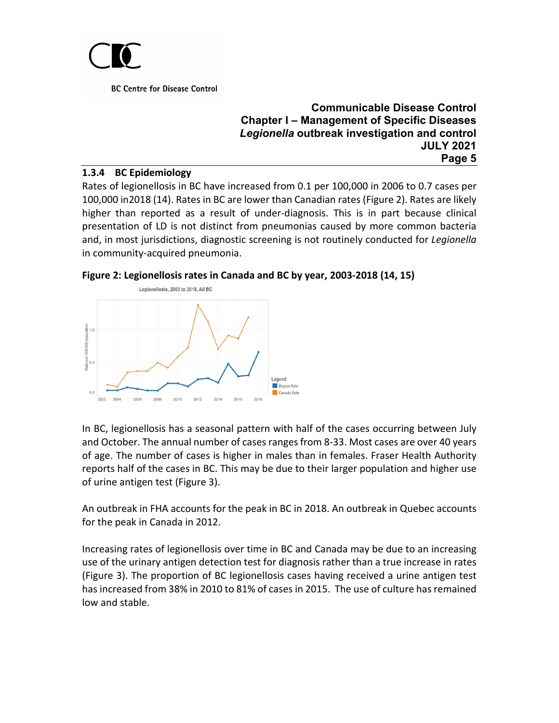

#### **Communicable Disease Control Chapter I – Management of Specific Diseases** *Legionella* **outbreak investigation and control JULY 2021 Page 5**

#### **1.3.4 BC Epidemiology**

Rates of legionellosis in BC have increased from 0.1 per 100,000 in 2006 to 0.7 cases per 100,000 in2018 (14). Rates in BC are lower than Canadian rates (Figure 2). Rates are likely higher than reported as a result of under-diagnosis. This is in part because clinical presentation of LD is not distinct from pneumonias caused by more common bacteria and, in most jurisdictions, diagnostic screening is not routinely conducted for *Legionella* in community-acquired pneumonia.

**Figure 2: Legionellosis rates in Canada and BC by year, 2003-2018 (14, 15)**



In BC, legionellosis has a seasonal pattern with half of the cases occurring between July and October. The annual number of cases ranges from 8-33. Most cases are over 40 years of age. The number of cases is higher in males than in females. Fraser Health Authority reports half of the cases in BC. This may be due to their larger population and higher use of urine antigen test (Figure 3).

An outbreak in FHA accounts for the peak in BC in 2018. An outbreak in Quebec accounts for the peak in Canada in 2012.

Increasing rates of legionellosis over time in BC and Canada may be due to an increasing use of the urinary antigen detection test for diagnosis rather than a true increase in rates (Figure 3). The proportion of BC legionellosis cases having received a urine antigen test has increased from 38% in 2010 to 81% of cases in 2015. The use of culture has remained low and stable.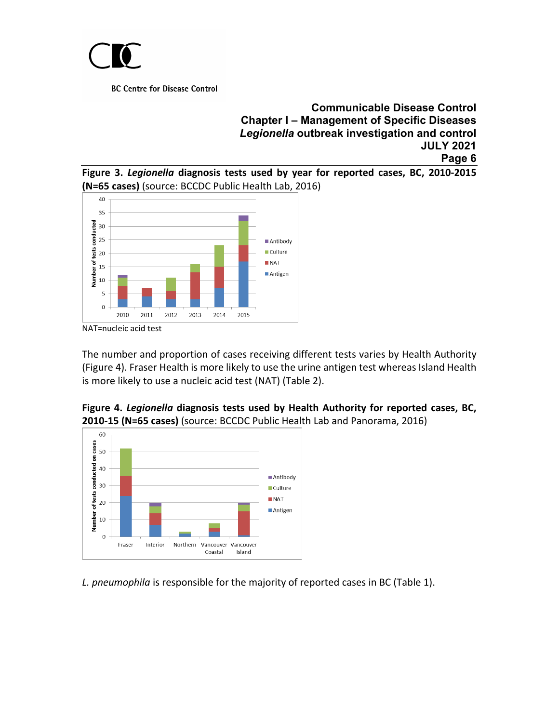

### **Communicable Disease Control Chapter I – Management of Specific Diseases** *Legionella* **outbreak investigation and control JULY 2021 Page 6**





NAT=nucleic acid test

The number and proportion of cases receiving different tests varies by Health Authority (Figure 4). Fraser Health is more likely to use the urine antigen test whereas Island Health is more likely to use a nucleic acid test (NAT) (Table 2).

**Figure 4.** *Legionella* **diagnosis tests used by Health Authority for reported cases, BC, 2010-15 (N=65 cases)** (source: BCCDC Public Health Lab and Panorama, 2016)



*L. pneumophila* is responsible for the majority of reported cases in BC (Table 1).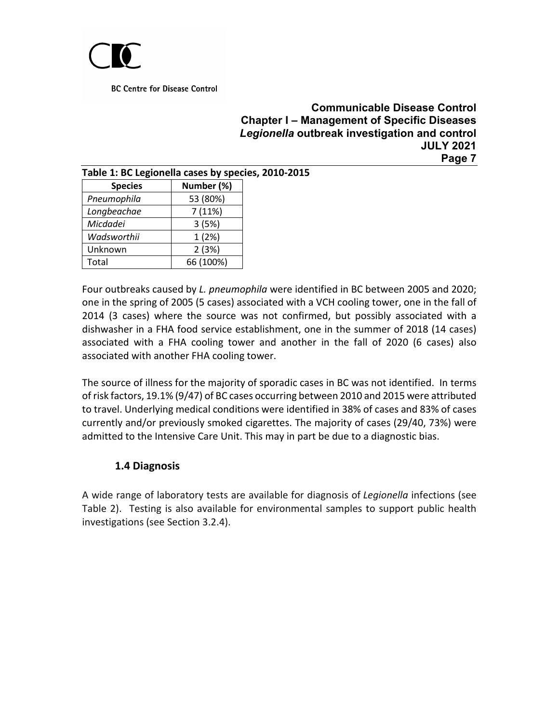

### **Communicable Disease Control Chapter I – Management of Specific Diseases** *Legionella* **outbreak investigation and control JULY 2021 Page 7**

| Table 1: BC Legionella cases by species, 2010-2015 |            |  |  |  |  |  |
|----------------------------------------------------|------------|--|--|--|--|--|
| <b>Species</b>                                     | Number (%) |  |  |  |  |  |
| Pneumophila                                        | 53 (80%)   |  |  |  |  |  |
| Longbeachae                                        | 7(11%)     |  |  |  |  |  |
| Micdadei                                           | 3(5%)      |  |  |  |  |  |
| Wadsworthii                                        | 1(2%)      |  |  |  |  |  |
| Unknown                                            | 2(3%)      |  |  |  |  |  |
| Total                                              | 66 (100%)  |  |  |  |  |  |

Four outbreaks caused by *L. pneumophila* were identified in BC between 2005 and 2020; one in the spring of 2005 (5 cases) associated with a VCH cooling tower, one in the fall of 2014 (3 cases) where the source was not confirmed, but possibly associated with a dishwasher in a FHA food service establishment, one in the summer of 2018 (14 cases) associated with a FHA cooling tower and another in the fall of 2020 (6 cases) also associated with another FHA cooling tower.

The source of illness for the majority of sporadic cases in BC was not identified. In terms of risk factors, 19.1% (9/47) of BC cases occurring between 2010 and 2015 were attributed to travel. Underlying medical conditions were identified in 38% of cases and 83% of cases currently and/or previously smoked cigarettes. The majority of cases (29/40, 73%) were admitted to the Intensive Care Unit. This may in part be due to a diagnostic bias.

# **1.4 Diagnosis**

<span id="page-6-0"></span>A wide range of laboratory tests are available for diagnosis of *Legionella* infections (see Table 2). Testing is also available for environmental samples to support public health investigations (see Section 3.2.4).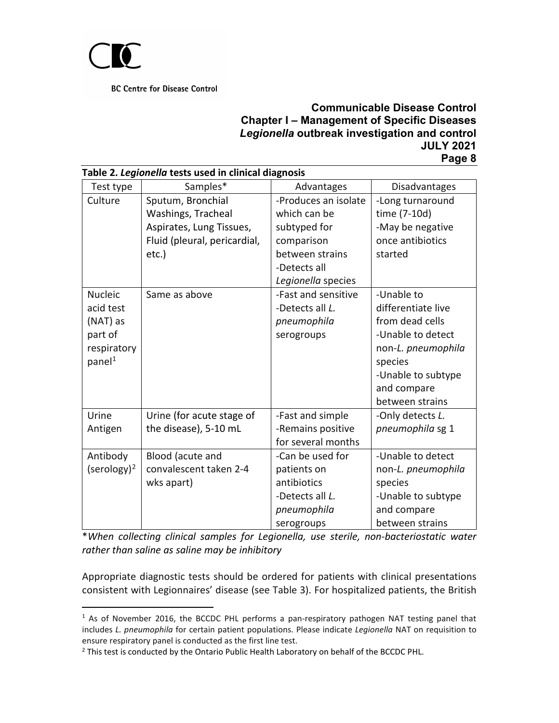

## **Communicable Disease Control Chapter I – Management of Specific Diseases** *Legionella* **outbreak investigation and control JULY 2021 Page 8**

<span id="page-7-2"></span>

| Test type               | Samples*                     | Advantages           | Disadvantages      |
|-------------------------|------------------------------|----------------------|--------------------|
| Culture                 | Sputum, Bronchial            | -Produces an isolate | -Long turnaround   |
|                         | Washings, Tracheal           | which can be         | time (7-10d)       |
|                         | Aspirates, Lung Tissues,     | subtyped for         | -May be negative   |
|                         | Fluid (pleural, pericardial, | comparison           | once antibiotics   |
|                         | $etc.$ )                     | between strains      | started            |
|                         |                              | -Detects all         |                    |
|                         |                              | Legionella species   |                    |
| <b>Nucleic</b>          | Same as above                | -Fast and sensitive  | -Unable to         |
| acid test               |                              | -Detects all L.      | differentiate live |
| (NAT) as                |                              | pneumophila          | from dead cells    |
| part of                 |                              | serogroups           | -Unable to detect  |
| respiratory             |                              |                      | non-L. pneumophila |
| panel <sup>1</sup>      |                              |                      | species            |
|                         |                              |                      | -Unable to subtype |
|                         |                              |                      | and compare        |
|                         |                              |                      | between strains    |
| Urine                   | Urine (for acute stage of    | -Fast and simple     | -Only detects L.   |
| Antigen                 | the disease), 5-10 mL        | -Remains positive    | pneumophila sg 1   |
|                         |                              | for several months   |                    |
| Antibody                | Blood (acute and             | -Can be used for     | -Unable to detect  |
| (serology) <sup>2</sup> | convalescent taken 2-4       | patients on          | non-L. pneumophila |
|                         | wks apart)                   | antibiotics          | species            |
|                         |                              | -Detects all L.      | -Unable to subtype |
|                         |                              | pneumophila          | and compare        |
|                         |                              | serogroups           | between strains    |

#### **Table 2.** *Legionella* **tests used in clinical diagnosis**

\**When collecting clinical samples for Legionella, use sterile, non-bacteriostatic water rather than saline as saline may be inhibitory*

Appropriate diagnostic tests should be ordered for patients with clinical presentations consistent with Legionnaires' disease (see Table 3). For hospitalized patients, the British

<span id="page-7-0"></span><sup>&</sup>lt;sup>1</sup> As of November 2016, the BCCDC PHL performs a pan-respiratory pathogen NAT testing panel that includes *L. pneumophila* for certain patient populations. Please indicate *Legionella* NAT on requisition to ensure respiratory panel is conducted as the first line test.

<span id="page-7-1"></span><sup>&</sup>lt;sup>2</sup> This test is conducted by the Ontario Public Health Laboratory on behalf of the BCCDC PHL.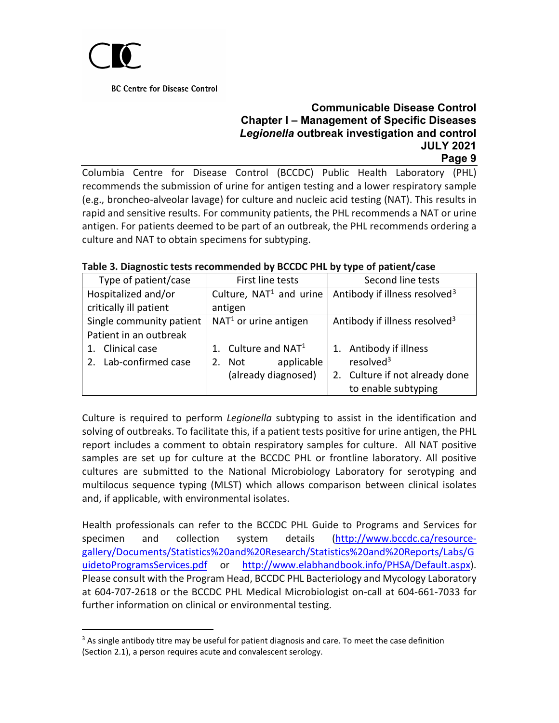

# **Communicable Disease Control Chapter I – Management of Specific Diseases** *Legionella* **outbreak investigation and control JULY 2021**

# <span id="page-8-0"></span>**Page 9**

Columbia Centre for Disease Control (BCCDC) Public Health Laboratory (PHL) recommends the submission of urine for antigen testing and a lower respiratory sample (e.g., broncheo-alveolar lavage) for culture and nucleic acid testing (NAT). This results in rapid and sensitive results. For community patients, the PHL recommends a NAT or urine antigen. For patients deemed to be part of an outbreak, the PHL recommends ordering a culture and NAT to obtain specimens for subtyping.

| Type of patient/case     | First line tests          | Second line tests                         |  |  |
|--------------------------|---------------------------|-------------------------------------------|--|--|
| Hospitalized and/or      | Culture, $NAT1$ and urine | Antibody if illness resolved <sup>3</sup> |  |  |
| critically ill patient   | antigen                   |                                           |  |  |
| Single community patient | $NAT1$ or urine antigen   | Antibody if illness resolved <sup>3</sup> |  |  |
| Patient in an outbreak   |                           |                                           |  |  |
| Clinical case            | 1. Culture and $NAT1$     | Antibody if illness                       |  |  |
| Lab-confirmed case       | applicable<br>2. Not      | resolved $3$                              |  |  |
|                          | (already diagnosed)       | 2. Culture if not already done            |  |  |
|                          |                           | to enable subtyping                       |  |  |

#### **Table 3. Diagnostic tests recommended by BCCDC PHL by type of patient/case**

Culture is required to perform *Legionella* subtyping to assist in the identification and solving of outbreaks. To facilitate this, if a patient tests positive for urine antigen, the PHL report includes a comment to obtain respiratory samples for culture. All NAT positive samples are set up for culture at the BCCDC PHL or frontline laboratory. All positive cultures are submitted to the National Microbiology Laboratory for serotyping and multilocus sequence typing (MLST) which allows comparison between clinical isolates and, if applicable, with environmental isolates.

Health professionals can refer to the BCCDC PHL Guide to Programs and Services for specimen and collection system details [\(http://www.bccdc.ca/resource](http://www.bccdc.ca/resource-gallery/Documents/Statistics%20and%20Research/Statistics%20and%20Reports/Labs/GuidetoProgramsServices.pdf)[gallery/Documents/Statistics%20and%20Research/Statistics%20and%20Reports/Labs/G](http://www.bccdc.ca/resource-gallery/Documents/Statistics%20and%20Research/Statistics%20and%20Reports/Labs/GuidetoProgramsServices.pdf) [uidetoProgramsServices.pdf](http://www.bccdc.ca/resource-gallery/Documents/Statistics%20and%20Research/Statistics%20and%20Reports/Labs/GuidetoProgramsServices.pdf) or [http://www.elabhandbook.info/PHSA/Default.aspx\)](http://www.elabhandbook.info/PHSA/Default.aspx). Please consult with the Program Head, BCCDC PHL Bacteriology and Mycology Laboratory at 604-707-2618 or the BCCDC PHL Medical Microbiologist on-call at 604-661-7033 for further information on clinical or environmental testing.

<span id="page-8-1"></span> $3$  As single antibody titre may be useful for patient diagnosis and care. To meet the case definition (Section 2.1), a person requires acute and convalescent serology.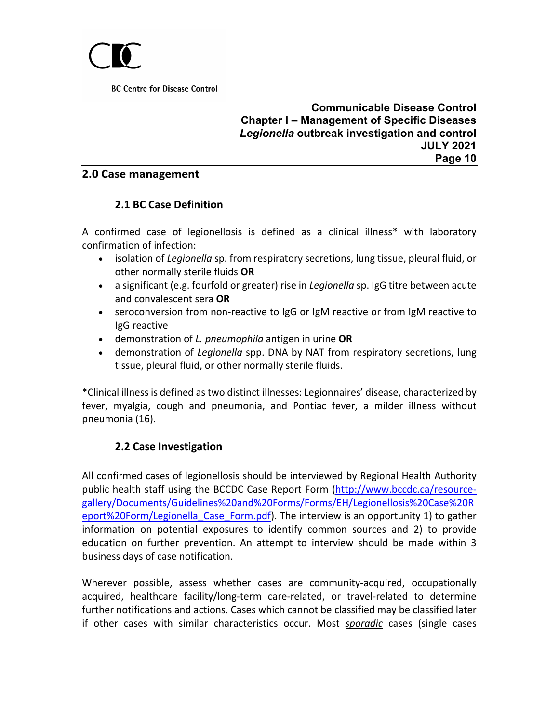

#### **Communicable Disease Control Chapter I – Management of Specific Diseases** *Legionella* **outbreak investigation and control JULY 2021 Page 10**

### <span id="page-9-1"></span><span id="page-9-0"></span>**2.0 Case management**

# **2.1 BC Case Definition**

A confirmed case of legionellosis is defined as a clinical illness\* with laboratory confirmation of infection:

- isolation of *Legionella* sp. from respiratory secretions, lung tissue, pleural fluid, or other normally sterile fluids **OR**
- a significant (e.g. fourfold or greater) rise in *Legionella* sp. IgG titre between acute and convalescent sera **OR**
- seroconversion from non-reactive to IgG or IgM reactive or from IgM reactive to IgG reactive
- demonstration of *L. pneumophila* antigen in urine **OR**
- demonstration of *Legionella* spp. DNA by NAT from respiratory secretions, lung tissue, pleural fluid, or other normally sterile fluids.

\*Clinical illness is defined as two distinct illnesses: Legionnaires' disease, characterized by fever, myalgia, cough and pneumonia, and Pontiac fever, a milder illness without pneumonia (16).

# **2.2 Case Investigation**

<span id="page-9-2"></span>All confirmed cases of legionellosis should be interviewed by Regional Health Authority public health staff using the BCCDC Case Report Form [\(http://www.bccdc.ca/resource](http://www.bccdc.ca/resource-gallery/Documents/Guidelines%20and%20Forms/Forms/EH/Legionellosis%20Case%20Report%20Form/Legionella_Case_Form.pdf)[gallery/Documents/Guidelines%20and%20Forms/Forms/EH/Legionellosis%20Case%20R](http://www.bccdc.ca/resource-gallery/Documents/Guidelines%20and%20Forms/Forms/EH/Legionellosis%20Case%20Report%20Form/Legionella_Case_Form.pdf) eport%20Form/Legionella Case Form.pdf). The interview is an opportunity 1) to gather information on potential exposures to identify common sources and 2) to provide education on further prevention. An attempt to interview should be made within 3 business days of case notification.

Wherever possible, assess whether cases are community-acquired, occupationally acquired, healthcare facility/long-term care-related, or travel-related to determine further notifications and actions. Cases which cannot be classified may be classified later if other cases with similar characteristics occur. Most *sporadic* cases (single cases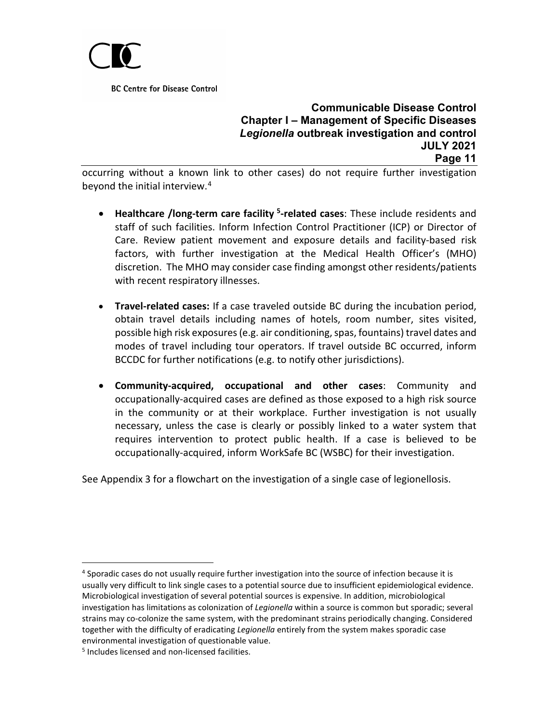

#### **Communicable Disease Control Chapter I – Management of Specific Diseases** *Legionella* **outbreak investigation and control JULY 2021 Page 11**

occurring without a known link to other cases) do not require further investigation beyond the initial interview.<sup>[4](#page-10-0)</sup>

- **Healthcare /long-term care facility [5](#page-10-1)-related cases**: These include residents and staff of such facilities. Inform Infection Control Practitioner (ICP) or Director of Care. Review patient movement and exposure details and facility-based risk factors, with further investigation at the Medical Health Officer's (MHO) discretion. The MHO may consider case finding amongst other residents/patients with recent respiratory illnesses.
- **Travel-related cases:** If a case traveled outside BC during the incubation period, obtain travel details including names of hotels, room number, sites visited, possible high risk exposures (e.g. air conditioning, spas, fountains) travel dates and modes of travel including tour operators. If travel outside BC occurred, inform BCCDC for further notifications (e.g. to notify other jurisdictions).
- **Community-acquired, occupational and other cases**: Community and occupationally-acquired cases are defined as those exposed to a high risk source in the community or at their workplace. Further investigation is not usually necessary, unless the case is clearly or possibly linked to a water system that requires intervention to protect public health. If a case is believed to be occupationally-acquired, inform WorkSafe BC (WSBC) for their investigation.

See Appendix 3 for a flowchart on the investigation of a single case of legionellosis.

<span id="page-10-0"></span><sup>&</sup>lt;sup>4</sup> Sporadic cases do not usually require further investigation into the source of infection because it is usually very difficult to link single cases to a potential source due to insufficient epidemiological evidence. Microbiological investigation of several potential sources is expensive. In addition, microbiological investigation has limitations as colonization of *Legionella* within a source is common but sporadic; several strains may co-colonize the same system, with the predominant strains periodically changing. Considered together with the difficulty of eradicating *Legionella* entirely from the system makes sporadic case environmental investigation of questionable value.

<span id="page-10-1"></span><sup>5</sup> Includes licensed and non-licensed facilities.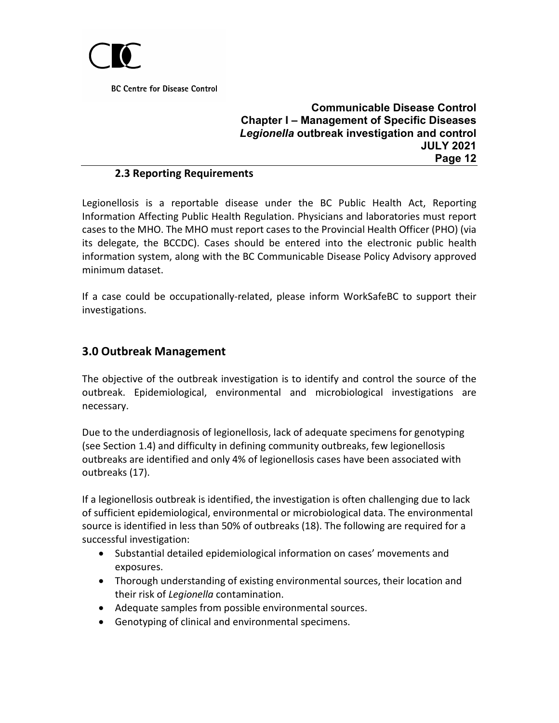

## **Communicable Disease Control Chapter I – Management of Specific Diseases** *Legionella* **outbreak investigation and control JULY 2021 Page 12**

#### **2.3 Reporting Requirements**

<span id="page-11-0"></span>Legionellosis is a reportable disease under the BC Public Health Act, Reporting Information Affecting Public Health Regulation. Physicians and laboratories must report cases to the MHO. The MHO must report cases to the Provincial Health Officer (PHO) (via its delegate, the BCCDC). Cases should be entered into the electronic public health information system, along with the BC Communicable Disease Policy Advisory approved minimum dataset.

If a case could be occupationally-related, please inform WorkSafeBC to support their investigations.

## <span id="page-11-1"></span>**3.0 Outbreak Management**

The objective of the outbreak investigation is to identify and control the source of the outbreak. Epidemiological, environmental and microbiological investigations are necessary.

Due to the underdiagnosis of legionellosis, lack of adequate specimens for genotyping (see Section 1.4) and difficulty in defining community outbreaks, few legionellosis outbreaks are identified and only 4% of legionellosis cases have been associated with outbreaks (17).

If a legionellosis outbreak is identified, the investigation is often challenging due to lack of sufficient epidemiological, environmental or microbiological data. The environmental source is identified in less than 50% of outbreaks (18). The following are required for a successful investigation:

- Substantial detailed epidemiological information on cases' movements and exposures.
- Thorough understanding of existing environmental sources, their location and their risk of *Legionella* contamination.
- Adequate samples from possible environmental sources.
- Genotyping of clinical and environmental specimens.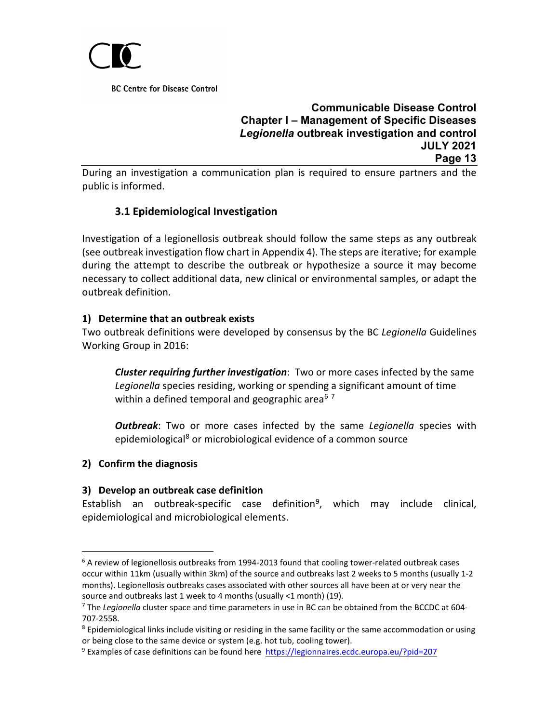

## **Communicable Disease Control Chapter I – Management of Specific Diseases** *Legionella* **outbreak investigation and control JULY 2021 Page 13**

During an investigation a communication plan is required to ensure partners and the public is informed.

# **3.1 Epidemiological Investigation**

<span id="page-12-0"></span>Investigation of a legionellosis outbreak should follow the same steps as any outbreak (see outbreak investigation flow chart in Appendix 4). The steps are iterative; for example during the attempt to describe the outbreak or hypothesize a source it may become necessary to collect additional data, new clinical or environmental samples, or adapt the outbreak definition.

#### **1) Determine that an outbreak exists**

Two outbreak definitions were developed by consensus by the BC *Legionella* Guidelines Working Group in 2016:

*Cluster requiring further investigation*: Two or more cases infected by the same *Legionella* species residing, working or spending a significant amount of time within a defined temporal and geographic area<sup>6[7](#page-12-2)</sup>

*Outbreak*: Two or more cases infected by the same *Legionella* species with epidemiological<sup>[8](#page-12-3)</sup> or microbiological evidence of a common source

### **2) Confirm the diagnosis**

#### **3) Develop an outbreak case definition**

Establish an outbreak-specific case definition<sup>[9](#page-12-4)</sup>, which may include clinical, epidemiological and microbiological elements.

<span id="page-12-1"></span> $6$  A review of legionellosis outbreaks from 1994-2013 found that cooling tower-related outbreak cases occur within 11km (usually within 3km) of the source and outbreaks last 2 weeks to 5 months (usually 1-2 months). Legionellosis outbreaks cases associated with other sources all have been at or very near the source and outbreaks last 1 week to 4 months (usually <1 month) (19).

<span id="page-12-2"></span><sup>7</sup> The *Legionella* cluster space and time parameters in use in BC can be obtained from the BCCDC at 604- 707-2558.

<span id="page-12-3"></span><sup>&</sup>lt;sup>8</sup> Epidemiological links include visiting or residing in the same facility or the same accommodation or using or being close to the same device or system (e.g. hot tub, cooling tower).

<span id="page-12-4"></span><sup>9</sup> Examples of case definitions can be found here <https://legionnaires.ecdc.europa.eu/?pid=207>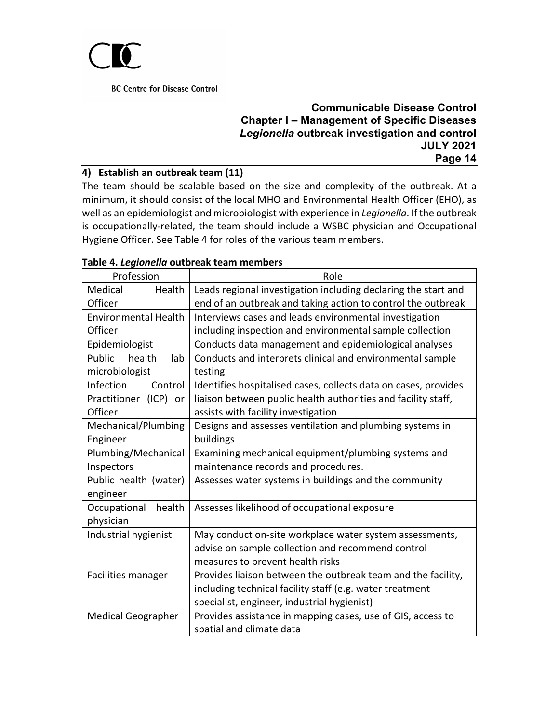

## **Communicable Disease Control Chapter I – Management of Specific Diseases** *Legionella* **outbreak investigation and control JULY 2021 Page 14**

#### **4) Establish an outbreak team (11)**

The team should be scalable based on the size and complexity of the outbreak. At a minimum, it should consist of the local MHO and Environmental Health Officer (EHO), as well as an epidemiologist and microbiologist with experience in *Legionella*. If the outbreak is occupationally-related, the team should include a WSBC physician and Occupational Hygiene Officer. See Table 4 for roles of the various team members.

| Profession                  | Role                                                            |
|-----------------------------|-----------------------------------------------------------------|
| Medical<br>Health           | Leads regional investigation including declaring the start and  |
| Officer                     | end of an outbreak and taking action to control the outbreak    |
| <b>Environmental Health</b> | Interviews cases and leads environmental investigation          |
| Officer                     | including inspection and environmental sample collection        |
| Epidemiologist              | Conducts data management and epidemiological analyses           |
| health<br>Public<br>lab     | Conducts and interprets clinical and environmental sample       |
| microbiologist              | testing                                                         |
| Control<br><b>Infection</b> | Identifies hospitalised cases, collects data on cases, provides |
| Practitioner (ICP) or       | liaison between public health authorities and facility staff,   |
| Officer                     | assists with facility investigation                             |
| Mechanical/Plumbing         | Designs and assesses ventilation and plumbing systems in        |
| Engineer                    | buildings                                                       |
| Plumbing/Mechanical         | Examining mechanical equipment/plumbing systems and             |
| Inspectors                  | maintenance records and procedures.                             |
| Public health (water)       | Assesses water systems in buildings and the community           |
| engineer                    |                                                                 |
| health<br>Occupational      | Assesses likelihood of occupational exposure                    |
| physician                   |                                                                 |
| Industrial hygienist        | May conduct on-site workplace water system assessments,         |
|                             | advise on sample collection and recommend control               |
|                             | measures to prevent health risks                                |
| Facilities manager          | Provides liaison between the outbreak team and the facility,    |
|                             | including technical facility staff (e.g. water treatment        |
|                             | specialist, engineer, industrial hygienist)                     |
| <b>Medical Geographer</b>   | Provides assistance in mapping cases, use of GIS, access to     |
|                             | spatial and climate data                                        |

#### **Table 4.** *Legionella* **outbreak team members**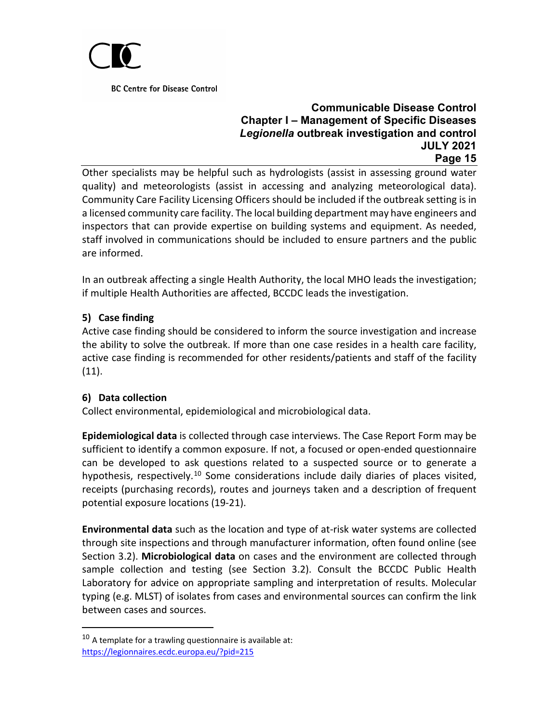

### **Communicable Disease Control Chapter I – Management of Specific Diseases** *Legionella* **outbreak investigation and control JULY 2021 Page 15**

Other specialists may be helpful such as hydrologists (assist in assessing ground water quality) and meteorologists (assist in accessing and analyzing meteorological data). Community Care Facility Licensing Officers should be included if the outbreak setting is in a licensed community care facility. The local building department may have engineers and inspectors that can provide expertise on building systems and equipment. As needed, staff involved in communications should be included to ensure partners and the public are informed.

In an outbreak affecting a single Health Authority, the local MHO leads the investigation; if multiple Health Authorities are affected, BCCDC leads the investigation.

## **5) Case finding**

Active case finding should be considered to inform the source investigation and increase the ability to solve the outbreak. If more than one case resides in a health care facility, active case finding is recommended for other residents/patients and staff of the facility (11).

### **6) Data collection**

Collect environmental, epidemiological and microbiological data.

**Epidemiological data** is collected through case interviews. The Case Report Form may be sufficient to identify a common exposure. If not, a focused or open-ended questionnaire can be developed to ask questions related to a suspected source or to generate a hypothesis, respectively.<sup>[10](#page-14-0)</sup> Some considerations include daily diaries of places visited, receipts (purchasing records), routes and journeys taken and a description of frequent potential exposure locations (19-21).

**Environmental data** such as the location and type of at-risk water systems are collected through site inspections and through manufacturer information, often found online (see Section 3.2). **Microbiological data** on cases and the environment are collected through sample collection and testing (see Section 3.2). Consult the BCCDC Public Health Laboratory for advice on appropriate sampling and interpretation of results. Molecular typing (e.g. MLST) of isolates from cases and environmental sources can confirm the link between cases and sources.

<span id="page-14-0"></span> $10<sup>10</sup>$  A template for a trawling questionnaire is available at: <https://legionnaires.ecdc.europa.eu/?pid=215>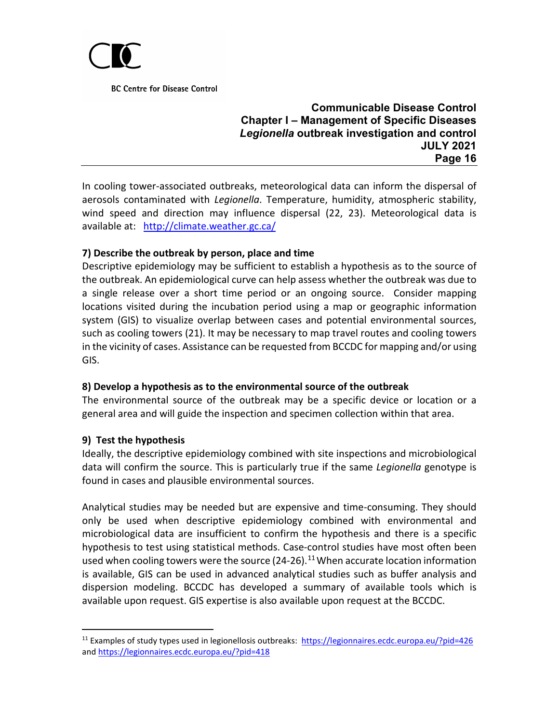

### **Communicable Disease Control Chapter I – Management of Specific Diseases** *Legionella* **outbreak investigation and control JULY 2021 Page 16**

In cooling tower-associated outbreaks, meteorological data can inform the dispersal of aerosols contaminated with *Legionella*. Temperature, humidity, atmospheric stability, wind speed and direction may influence dispersal (22, 23). Meteorological data is available at: <http://climate.weather.gc.ca/>

### **7) Describe the outbreak by person, place and time**

Descriptive epidemiology may be sufficient to establish a hypothesis as to the source of the outbreak. An epidemiological curve can help assess whether the outbreak was due to a single release over a short time period or an ongoing source. Consider mapping locations visited during the incubation period using a map or geographic information system (GIS) to visualize overlap between cases and potential environmental sources, such as cooling towers (21). It may be necessary to map travel routes and cooling towers in the vicinity of cases. Assistance can be requested from BCCDC for mapping and/or using GIS.

### **8) Develop a hypothesis as to the environmental source of the outbreak**

The environmental source of the outbreak may be a specific device or location or a general area and will guide the inspection and specimen collection within that area.

#### **9) Test the hypothesis**

Ideally, the descriptive epidemiology combined with site inspections and microbiological data will confirm the source. This is particularly true if the same *Legionella* genotype is found in cases and plausible environmental sources.

Analytical studies may be needed but are expensive and time-consuming. They should only be used when descriptive epidemiology combined with environmental and microbiological data are insufficient to confirm the hypothesis and there is a specific hypothesis to test using statistical methods. Case-control studies have most often been used when cooling towers were the source (24-26).<sup>[11](#page-15-0)</sup> When accurate location information is available, GIS can be used in advanced analytical studies such as buffer analysis and dispersion modeling. BCCDC has developed a summary of available tools which is available upon request. GIS expertise is also available upon request at the BCCDC.

<span id="page-15-0"></span><sup>&</sup>lt;sup>11</sup> Examples of study types used in legionellosis outbreaks:<https://legionnaires.ecdc.europa.eu/?pid=426> an[d https://legionnaires.ecdc.europa.eu/?pid=418](https://legionnaires.ecdc.europa.eu/?pid=418)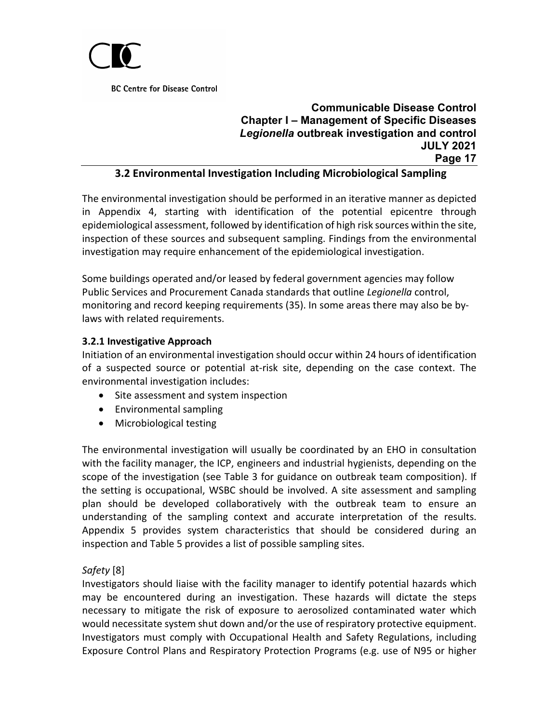

# **Communicable Disease Control Chapter I – Management of Specific Diseases** *Legionella* **outbreak investigation and control JULY 2021 Page 17**

#### **3.2 Environmental Investigation Including Microbiological Sampling**

<span id="page-16-0"></span>The environmental investigation should be performed in an iterative manner as depicted in Appendix 4, starting with identification of the potential epicentre through epidemiological assessment, followed by identification of high risk sources within the site, inspection of these sources and subsequent sampling. Findings from the environmental investigation may require enhancement of the epidemiological investigation.

Some buildings operated and/or leased by federal government agencies may follow Public Services and Procurement Canada standards that outline *Legionella* control, monitoring and record keeping requirements (35). In some areas there may also be bylaws with related requirements.

#### **3.2.1 Investigative Approach**

Initiation of an environmental investigation should occur within 24 hours of identification of a suspected source or potential at-risk site, depending on the case context. The environmental investigation includes:

- Site assessment and system inspection
- Environmental sampling
- Microbiological testing

The environmental investigation will usually be coordinated by an EHO in consultation with the facility manager, the ICP, engineers and industrial hygienists, depending on the scope of the investigation (see Table 3 for guidance on outbreak team composition). If the setting is occupational, WSBC should be involved. A site assessment and sampling plan should be developed collaboratively with the outbreak team to ensure an understanding of the sampling context and accurate interpretation of the results. Appendix 5 provides system characteristics that should be considered during an inspection and Table 5 provides a list of possible sampling sites.

### *Safety* [8]

Investigators should liaise with the facility manager to identify potential hazards which may be encountered during an investigation. These hazards will dictate the steps necessary to mitigate the risk of exposure to aerosolized contaminated water which would necessitate system shut down and/or the use of respiratory protective equipment. Investigators must comply with Occupational Health and Safety Regulations, including Exposure Control Plans and Respiratory Protection Programs (e.g. use of N95 or higher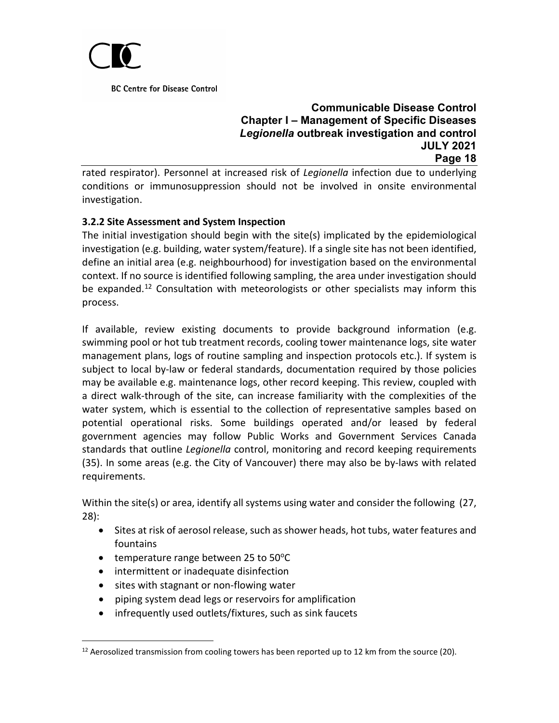

## **Communicable Disease Control Chapter I – Management of Specific Diseases** *Legionella* **outbreak investigation and control JULY 2021 Page 18**

rated respirator). Personnel at increased risk of *Legionella* infection due to underlying conditions or immunosuppression should not be involved in onsite environmental investigation.

## **3.2.2 Site Assessment and System Inspection**

The initial investigation should begin with the site(s) implicated by the epidemiological investigation (e.g. building, water system/feature). If a single site has not been identified, define an initial area (e.g. neighbourhood) for investigation based on the environmental context. If no source is identified following sampling, the area under investigation should be expanded.<sup>[12](#page-17-0)</sup> Consultation with meteorologists or other specialists may inform this process.

If available, review existing documents to provide background information (e.g. swimming pool or hot tub treatment records, cooling tower maintenance logs, site water management plans, logs of routine sampling and inspection protocols etc.). If system is subject to local by-law or federal standards, documentation required by those policies may be available e.g. maintenance logs, other record keeping. This review, coupled with a direct walk-through of the site, can increase familiarity with the complexities of the water system, which is essential to the collection of representative samples based on potential operational risks. Some buildings operated and/or leased by federal government agencies may follow Public Works and Government Services Canada standards that outline *Legionella* control, monitoring and record keeping requirements (35). In some areas (e.g. the City of Vancouver) there may also be by-laws with related requirements.

Within the site(s) or area, identify all systems using water and consider the following (27, 28):

- Sites at risk of aerosol release, such as shower heads, hot tubs, water features and fountains
- temperature range between 25 to  $50^{\circ}$ C
- intermittent or inadequate disinfection
- sites with stagnant or non-flowing water
- piping system dead legs or reservoirs for amplification
- infrequently used outlets/fixtures, such as sink faucets

<span id="page-17-0"></span> $12$  Aerosolized transmission from cooling towers has been reported up to 12 km from the source (20).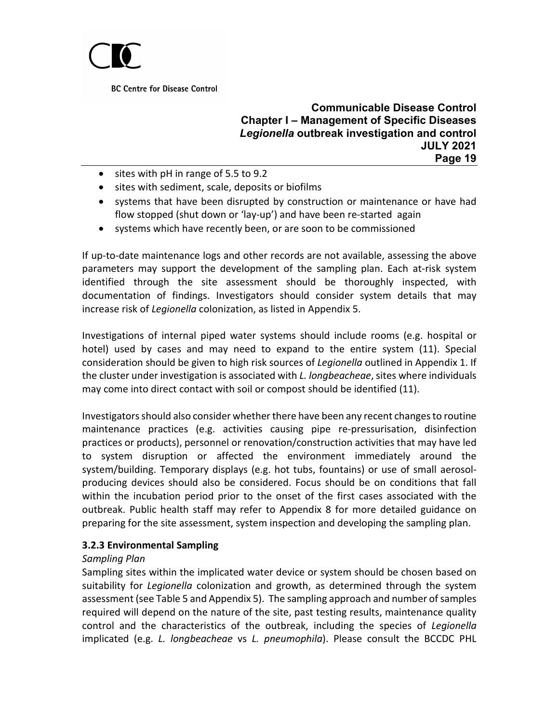

#### **Communicable Disease Control Chapter I – Management of Specific Diseases** *Legionella* **outbreak investigation and control JULY 2021 Page 19**

- sites with pH in range of 5.5 to 9.2
- sites with sediment, scale, deposits or biofilms
- systems that have been disrupted by construction or maintenance or have had flow stopped (shut down or 'lay-up') and have been re-started again
- systems which have recently been, or are soon to be commissioned

If up-to-date maintenance logs and other records are not available, assessing the above parameters may support the development of the sampling plan. Each at-risk system identified through the site assessment should be thoroughly inspected, with documentation of findings. Investigators should consider system details that may increase risk of *Legionella* colonization, as listed in Appendix 5.

Investigations of internal piped water systems should include rooms (e.g. hospital or hotel) used by cases and may need to expand to the entire system (11). Special consideration should be given to high risk sources of *Legionella* outlined in Appendix 1. If the cluster under investigation is associated with *L. longbeacheae*, sites where individuals may come into direct contact with soil or compost should be identified (11).

Investigators should also consider whether there have been any recent changes to routine maintenance practices (e.g. activities causing pipe re-pressurisation, disinfection practices or products), personnel or renovation/construction activities that may have led to system disruption or affected the environment immediately around the system/building. Temporary displays (e.g. hot tubs, fountains) or use of small aerosolproducing devices should also be considered. Focus should be on conditions that fall within the incubation period prior to the onset of the first cases associated with the outbreak. Public health staff may refer to Appendix 8 for more detailed guidance on preparing for the site assessment, system inspection and developing the sampling plan.

### **3.2.3 Environmental Sampling**

#### *Sampling Plan*

Sampling sites within the implicated water device or system should be chosen based on suitability for *Legionella* colonization and growth, as determined through the system assessment (see Table 5 and Appendix 5). The sampling approach and number of samples required will depend on the nature of the site, past testing results, maintenance quality control and the characteristics of the outbreak, including the species of *Legionella* implicated (e.g. *L. longbeacheae* vs *L. pneumophila*). Please consult the BCCDC PHL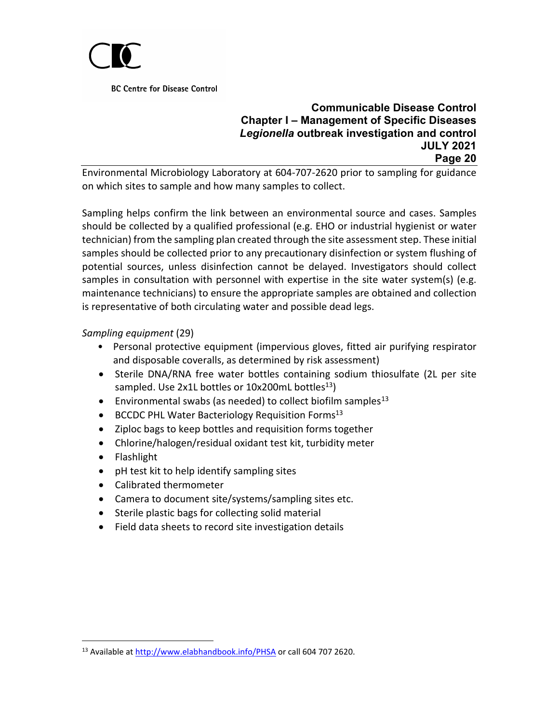

#### **Communicable Disease Control Chapter I – Management of Specific Diseases** *Legionella* **outbreak investigation and control JULY 2021 Page 20**

Environmental Microbiology Laboratory at 604-707-2620 prior to sampling for guidance on which sites to sample and how many samples to collect.

Sampling helps confirm the link between an environmental source and cases. Samples should be collected by a qualified professional (e.g. EHO or industrial hygienist or water technician) from the sampling plan created through the site assessment step. These initial samples should be collected prior to any precautionary disinfection or system flushing of potential sources, unless disinfection cannot be delayed. Investigators should collect samples in consultation with personnel with expertise in the site water system(s) (e.g. maintenance technicians) to ensure the appropriate samples are obtained and collection is representative of both circulating water and possible dead legs.

### *Sampling equipment* (29)

- Personal protective equipment (impervious gloves, fitted air purifying respirator and disposable coveralls, as determined by risk assessment)
- Sterile DNA/RNA free water bottles containing sodium thiosulfate (2L per site sampled. Use  $2x1L$  bottles or  $10x200mL$  bottles<sup>13</sup>)
- **•** Environmental swabs (as needed) to collect biofilm samples<sup>[13](#page-19-0)</sup>
- BCCDC PHL Water Bacteriology Requisition Forms<sup>13</sup>
- Ziploc bags to keep bottles and requisition forms together
- Chlorine/halogen/residual oxidant test kit, turbidity meter
- Flashlight
- pH test kit to help identify sampling sites
- Calibrated thermometer
- Camera to document site/systems/sampling sites etc.
- Sterile plastic bags for collecting solid material
- Field data sheets to record site investigation details

<span id="page-19-0"></span><sup>&</sup>lt;sup>13</sup> Available a[t http://www.elabhandbook.info/PHSA](http://www.elabhandbook.info/PHSA) or call 604 707 2620.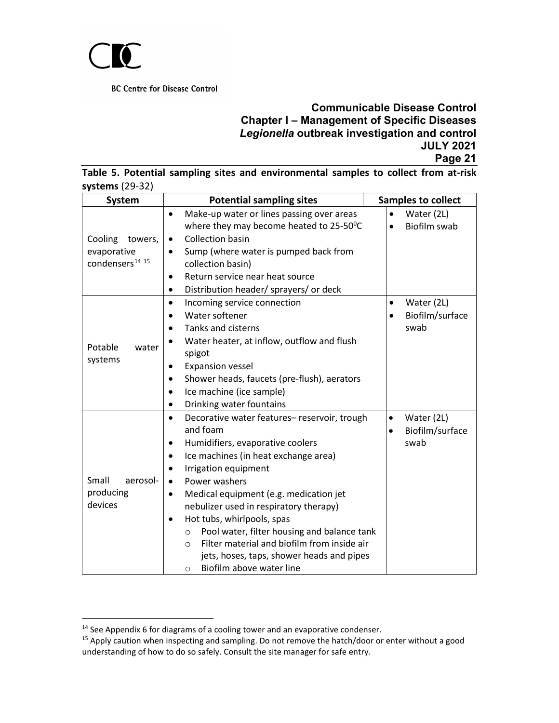

|                   |  |  | Table 5. Potential sampling sites and environmental samples to collect from at-risk |  |  |  |
|-------------------|--|--|-------------------------------------------------------------------------------------|--|--|--|
| systems $(29-32)$ |  |  |                                                                                     |  |  |  |

| <b>System</b>                                                               | <b>Potential sampling sites</b>                                                                                                                                                                                                                                                                                                                                                                                                                                                                                                                  | <b>Samples to collect</b>                                       |
|-----------------------------------------------------------------------------|--------------------------------------------------------------------------------------------------------------------------------------------------------------------------------------------------------------------------------------------------------------------------------------------------------------------------------------------------------------------------------------------------------------------------------------------------------------------------------------------------------------------------------------------------|-----------------------------------------------------------------|
| Cooling<br>towers,<br>evaporative<br>condensers <sup>14</sup> <sup>15</sup> | Make-up water or lines passing over areas<br>where they may become heated to 25-50°C<br><b>Collection basin</b><br>$\bullet$<br>Sump (where water is pumped back from<br>$\bullet$<br>collection basin)<br>Return service near heat source<br>$\bullet$<br>Distribution header/ sprayers/ or deck                                                                                                                                                                                                                                                | Water (2L)<br><b>Biofilm swab</b>                               |
| Potable<br>water<br>systems                                                 | Incoming service connection<br>$\bullet$<br>Water softener<br>Tanks and cisterns<br>Water heater, at inflow, outflow and flush<br>spigot<br><b>Expansion vessel</b><br>Shower heads, faucets (pre-flush), aerators<br>Ice machine (ice sample)<br>Drinking water fountains                                                                                                                                                                                                                                                                       | Water (2L)<br>$\bullet$<br>Biofilm/surface<br>swab              |
| Small<br>aerosol-<br>producing<br>devices                                   | Decorative water features-reservoir, trough<br>and foam<br>Humidifiers, evaporative coolers<br>Ice machines (in heat exchange area)<br>Irrigation equipment<br>Power washers<br>$\bullet$<br>Medical equipment (e.g. medication jet<br>$\bullet$<br>nebulizer used in respiratory therapy)<br>Hot tubs, whirlpools, spas<br>$\bullet$<br>Pool water, filter housing and balance tank<br>$\circ$<br>Filter material and biofilm from inside air<br>$\bigcirc$<br>jets, hoses, taps, shower heads and pipes<br>Biofilm above water line<br>$\circ$ | Water (2L)<br>$\bullet$<br>Biofilm/surface<br>$\bullet$<br>swab |

<span id="page-20-0"></span><sup>&</sup>lt;sup>14</sup> See Appendix 6 for diagrams of a cooling tower and an evaporative condenser.

<span id="page-20-1"></span><sup>&</sup>lt;sup>15</sup> Apply caution when inspecting and sampling. Do not remove the hatch/door or enter without a good understanding of how to do so safely. Consult the site manager for safe entry.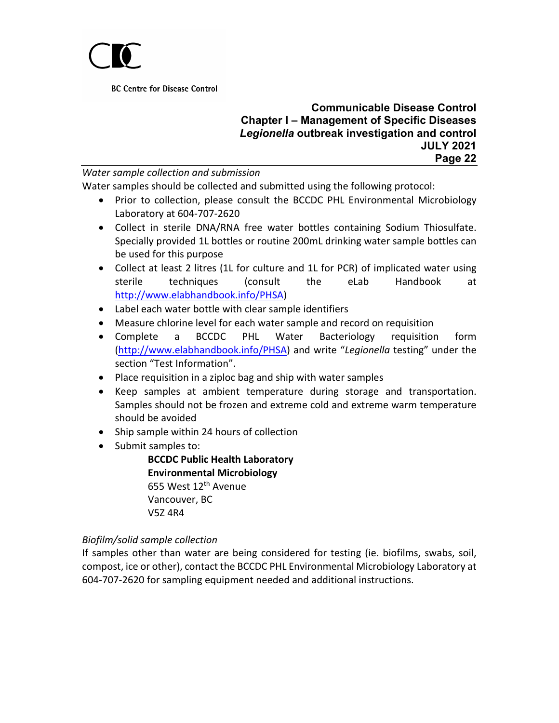

#### **Communicable Disease Control Chapter I – Management of Specific Diseases** *Legionella* **outbreak investigation and control JULY 2021 Page 22**

*Water sample collection and submission*

Water samples should be collected and submitted using the following protocol:

- Prior to collection, please consult the BCCDC PHL Environmental Microbiology Laboratory at 604-707-2620
- Collect in sterile DNA/RNA free water bottles containing Sodium Thiosulfate. Specially provided 1L bottles or routine 200mL drinking water sample bottles can be used for this purpose
- Collect at least 2 litres (1L for culture and 1L for PCR) of implicated water using sterile techniques (consult the eLab Handbook at [http://www.elabhandbook.info/PHSA\)](http://www.elabhandbook.info/PHSA)
- Label each water bottle with clear sample identifiers
- Measure chlorine level for each water sample and record on requisition
- Complete a BCCDC PHL Water Bacteriology requisition form [\(http://www.elabhandbook.info/PHSA\)](http://www.elabhandbook.info/PHSA) and write "*Legionella* testing" under the section "Test Information".
- Place requisition in a ziploc bag and ship with water samples
- Keep samples at ambient temperature during storage and transportation. Samples should not be frozen and extreme cold and extreme warm temperature should be avoided
- Ship sample within 24 hours of collection
- Submit samples to:

**BCCDC Public Health Laboratory Environmental Microbiology** 655 West 12<sup>th</sup> Avenue Vancouver, BC V5Z 4R4

### *Biofilm/solid sample collection*

If samples other than water are being considered for testing (ie. biofilms, swabs, soil, compost, ice or other), contact the BCCDC PHL Environmental Microbiology Laboratory at 604-707-2620 for sampling equipment needed and additional instructions.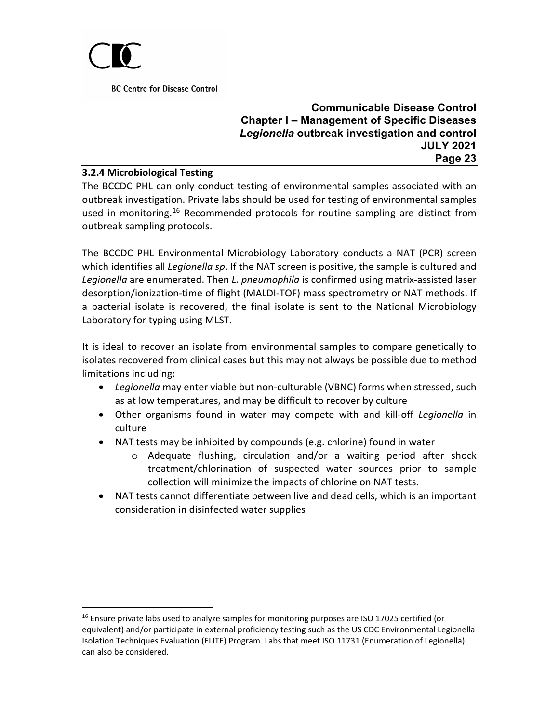

#### **Communicable Disease Control Chapter I – Management of Specific Diseases** *Legionella* **outbreak investigation and control JULY 2021 Page 23**

#### **3.2.4 Microbiological Testing**

The BCCDC PHL can only conduct testing of environmental samples associated with an outbreak investigation. Private labs should be used for testing of environmental samples used in monitoring.[16](#page-22-0) Recommended protocols for routine sampling are distinct from outbreak sampling protocols.

The BCCDC PHL Environmental Microbiology Laboratory conducts a NAT (PCR) screen which identifies all *Legionella sp*. If the NAT screen is positive, the sample is cultured and *Legionella* are enumerated. Then *L. pneumophila* is confirmed using matrix-assisted laser desorption/ionization-time of flight (MALDI-TOF) mass spectrometry or NAT methods. If a bacterial isolate is recovered, the final isolate is sent to the National Microbiology Laboratory for typing using MLST.

It is ideal to recover an isolate from environmental samples to compare genetically to isolates recovered from clinical cases but this may not always be possible due to method limitations including:

- *Legionella* may enter viable but non-culturable (VBNC) forms when stressed, such as at low temperatures, and may be difficult to recover by culture
- Other organisms found in water may compete with and kill-off *Legionella* in culture
- NAT tests may be inhibited by compounds (e.g. chlorine) found in water
	- o Adequate flushing, circulation and/or a waiting period after shock treatment/chlorination of suspected water sources prior to sample collection will minimize the impacts of chlorine on NAT tests.
- NAT tests cannot differentiate between live and dead cells, which is an important consideration in disinfected water supplies

<span id="page-22-0"></span><sup>&</sup>lt;sup>16</sup> Ensure private labs used to analyze samples for monitoring purposes are ISO 17025 certified (or equivalent) and/or participate in external proficiency testing such as the US CDC Environmental Legionella Isolation Techniques Evaluation (ELITE) Program. Labs that meet ISO 11731 (Enumeration of Legionella) can also be considered.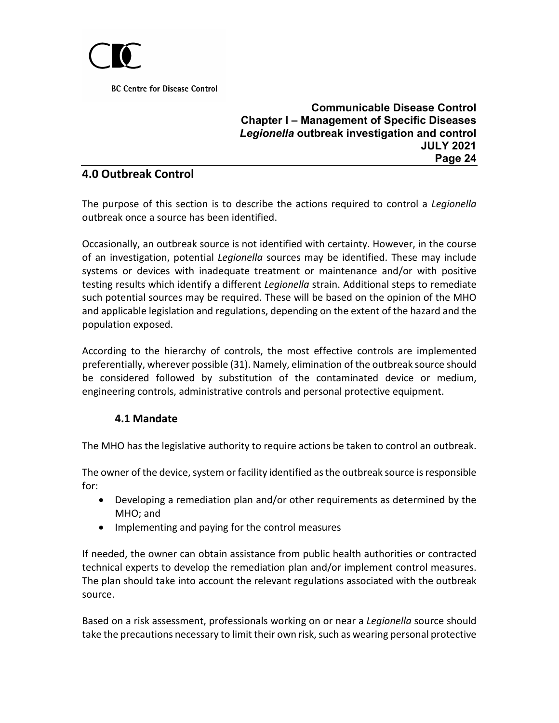

**Communicable Disease Control Chapter I – Management of Specific Diseases** *Legionella* **outbreak investigation and control JULY 2021 Page 24**

# <span id="page-23-0"></span>**4.0 Outbreak Control**

The purpose of this section is to describe the actions required to control a *Legionella* outbreak once a source has been identified.

Occasionally, an outbreak source is not identified with certainty. However, in the course of an investigation, potential *Legionella* sources may be identified. These may include systems or devices with inadequate treatment or maintenance and/or with positive testing results which identify a different *Legionella* strain. Additional steps to remediate such potential sources may be required. These will be based on the opinion of the MHO and applicable legislation and regulations, depending on the extent of the hazard and the population exposed.

According to the hierarchy of controls, the most effective controls are implemented preferentially, wherever possible (31). Namely, elimination of the outbreak source should be considered followed by substitution of the contaminated device or medium, engineering controls, administrative controls and personal protective equipment.

### **4.1 Mandate**

<span id="page-23-1"></span>The MHO has the legislative authority to require actions be taken to control an outbreak.

The owner of the device, system or facility identified as the outbreak source is responsible for:

- Developing a remediation plan and/or other requirements as determined by the MHO; and
- Implementing and paying for the control measures

If needed, the owner can obtain assistance from public health authorities or contracted technical experts to develop the remediation plan and/or implement control measures. The plan should take into account the relevant regulations associated with the outbreak source.

Based on a risk assessment, professionals working on or near a *Legionella* source should take the precautions necessary to limit their own risk, such as wearing personal protective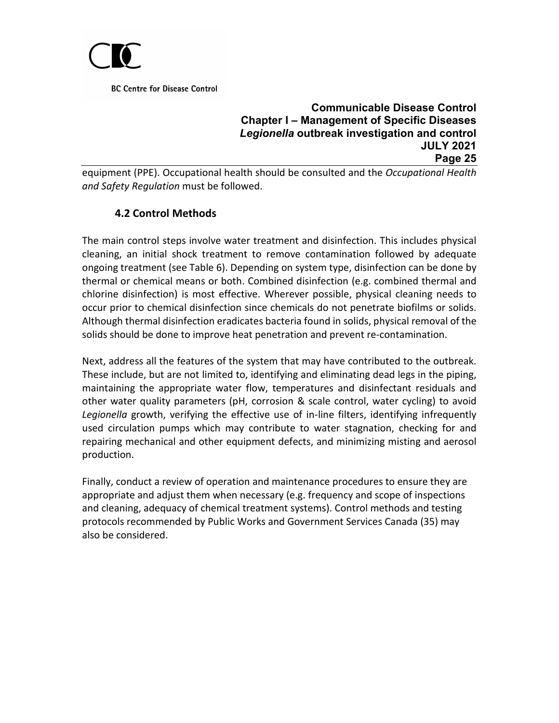

## **Communicable Disease Control Chapter I – Management of Specific Diseases** *Legionella* **outbreak investigation and control JULY 2021 Page 25**

equipment (PPE). Occupational health should be consulted and the *Occupational Health and Safety Regulation* must be followed.

# **4.2 Control Methods**

<span id="page-24-0"></span>The main control steps involve water treatment and disinfection. This includes physical cleaning, an initial shock treatment to remove contamination followed by adequate ongoing treatment (see Table 6). Depending on system type, disinfection can be done by thermal or chemical means or both. Combined disinfection (e.g. combined thermal and chlorine disinfection) is most effective. Wherever possible, physical cleaning needs to occur prior to chemical disinfection since chemicals do not penetrate biofilms or solids. Although thermal disinfection eradicates bacteria found in solids, physical removal of the solids should be done to improve heat penetration and prevent re-contamination.

Next, address all the features of the system that may have contributed to the outbreak. These include, but are not limited to, identifying and eliminating dead legs in the piping, maintaining the appropriate water flow, temperatures and disinfectant residuals and other water quality parameters (pH, corrosion & scale control, water cycling) to avoid *Legionella* growth, verifying the effective use of in-line filters, identifying infrequently used circulation pumps which may contribute to water stagnation, checking for and repairing mechanical and other equipment defects, and minimizing misting and aerosol production.

Finally, conduct a review of operation and maintenance procedures to ensure they are appropriate and adjust them when necessary (e.g. frequency and scope of inspections and cleaning, adequacy of chemical treatment systems). Control methods and testing protocols recommended by Public Works and Government Services Canada (35) may also be considered.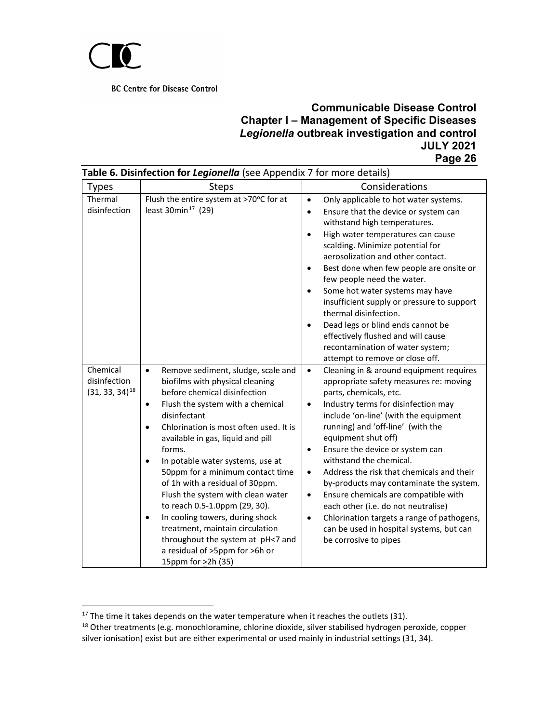

| Table 6. Disinfection for Legionella (see Appendix 7 for more details) |                                                                                                                                                                                                                                                                                                                                                                                                                                                                                                                                                                                                                                                                         |                                                                                                                                                                                                                                                                                                                                                                                                                                                                                                                                                                                                                                                                                               |  |  |  |  |  |
|------------------------------------------------------------------------|-------------------------------------------------------------------------------------------------------------------------------------------------------------------------------------------------------------------------------------------------------------------------------------------------------------------------------------------------------------------------------------------------------------------------------------------------------------------------------------------------------------------------------------------------------------------------------------------------------------------------------------------------------------------------|-----------------------------------------------------------------------------------------------------------------------------------------------------------------------------------------------------------------------------------------------------------------------------------------------------------------------------------------------------------------------------------------------------------------------------------------------------------------------------------------------------------------------------------------------------------------------------------------------------------------------------------------------------------------------------------------------|--|--|--|--|--|
| <b>Types</b>                                                           | <b>Steps</b>                                                                                                                                                                                                                                                                                                                                                                                                                                                                                                                                                                                                                                                            | Considerations                                                                                                                                                                                                                                                                                                                                                                                                                                                                                                                                                                                                                                                                                |  |  |  |  |  |
| Thermal<br>disinfection                                                | Flush the entire system at >70°C for at<br>least 30 $min17$ (29)                                                                                                                                                                                                                                                                                                                                                                                                                                                                                                                                                                                                        | Only applicable to hot water systems.<br>$\bullet$<br>Ensure that the device or system can<br>$\bullet$<br>withstand high temperatures.<br>High water temperatures can cause<br>$\bullet$<br>scalding. Minimize potential for<br>aerosolization and other contact.<br>Best done when few people are onsite or<br>$\bullet$<br>few people need the water.<br>Some hot water systems may have<br>$\bullet$<br>insufficient supply or pressure to support<br>thermal disinfection.<br>Dead legs or blind ends cannot be<br>$\bullet$<br>effectively flushed and will cause<br>recontamination of water system;<br>attempt to remove or close off.                                                |  |  |  |  |  |
| Chemical<br>disinfection<br>$(31, 33, 34)$ <sup>18</sup>               | Remove sediment, sludge, scale and<br>$\bullet$<br>biofilms with physical cleaning<br>before chemical disinfection<br>Flush the system with a chemical<br>$\bullet$<br>disinfectant<br>Chlorination is most often used. It is<br>$\bullet$<br>available in gas, liquid and pill<br>forms.<br>In potable water systems, use at<br>$\bullet$<br>50ppm for a minimum contact time<br>of 1h with a residual of 30ppm.<br>Flush the system with clean water<br>to reach 0.5-1.0ppm (29, 30).<br>In cooling towers, during shock<br>$\bullet$<br>treatment, maintain circulation<br>throughout the system at pH<7 and<br>a residual of >5ppm for >6h or<br>15ppm for >2h (35) | Cleaning in & around equipment requires<br>$\bullet$<br>appropriate safety measures re: moving<br>parts, chemicals, etc.<br>Industry terms for disinfection may<br>$\bullet$<br>include 'on-line' (with the equipment<br>running) and 'off-line' (with the<br>equipment shut off)<br>Ensure the device or system can<br>$\bullet$<br>withstand the chemical.<br>Address the risk that chemicals and their<br>$\bullet$<br>by-products may contaminate the system.<br>Ensure chemicals are compatible with<br>$\bullet$<br>each other (i.e. do not neutralise)<br>Chlorination targets a range of pathogens,<br>$\bullet$<br>can be used in hospital systems, but can<br>be corrosive to pipes |  |  |  |  |  |

 $17$  The time it takes depends on the water temperature when it reaches the outlets (31).

<span id="page-25-1"></span><span id="page-25-0"></span><sup>18</sup> Other treatments (e.g. monochloramine, chlorine dioxide, silver stabilised hydrogen peroxide, copper silver ionisation) exist but are either experimental or used mainly in industrial settings (31, 34).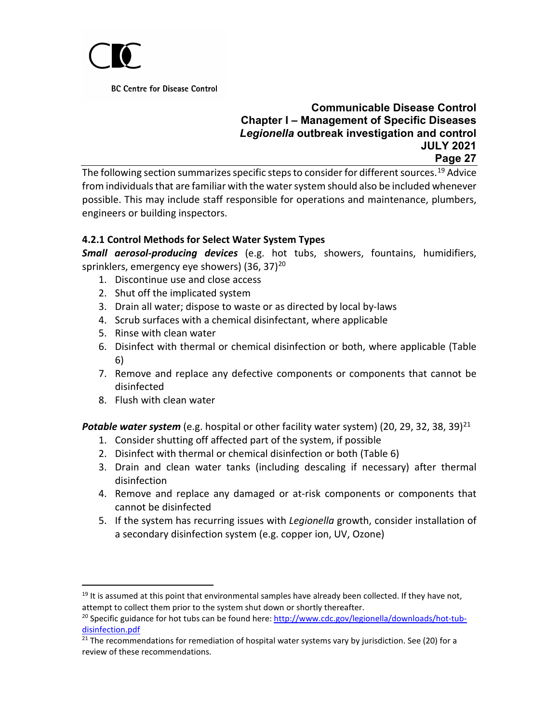

#### **Communicable Disease Control Chapter I – Management of Specific Diseases** *Legionella* **outbreak investigation and control JULY 2021 Page 27**

The following section summarizes specific steps to consider for different sources.<sup>[19](#page-26-0)</sup> Advice from individuals that are familiar with the water system should also be included whenever possible. This may include staff responsible for operations and maintenance, plumbers, engineers or building inspectors.

### **4.2.1 Control Methods for Select Water System Types**

*Small aerosol-producing devices* (e.g. hot tubs, showers, fountains, humidifiers, sprinklers, emergency eye showers) (36, 37)<sup>[20](#page-26-1)</sup>

- 1. Discontinue use and close access
- 2. Shut off the implicated system
- 3. Drain all water; dispose to waste or as directed by local by-laws
- 4. Scrub surfaces with a chemical disinfectant, where applicable
- 5. Rinse with clean water
- 6. Disinfect with thermal or chemical disinfection or both, where applicable (Table 6)
- 7. Remove and replace any defective components or components that cannot be disinfected
- 8. Flush with clean water

Potable water system (e.g. hospital or other facility water system) (20, 29, 32, 38, 39)<sup>[21](#page-26-2)</sup>

- 1. Consider shutting off affected part of the system, if possible
- 2. Disinfect with thermal or chemical disinfection or both (Table 6)
- 3. Drain and clean water tanks (including descaling if necessary) after thermal disinfection
- 4. Remove and replace any damaged or at-risk components or components that cannot be disinfected
- 5. If the system has recurring issues with *Legionella* growth, consider installation of a secondary disinfection system (e.g. copper ion, UV, Ozone)

<span id="page-26-0"></span> $19$  It is assumed at this point that environmental samples have already been collected. If they have not, attempt to collect them prior to the system shut down or shortly thereafter.

<span id="page-26-1"></span><sup>&</sup>lt;sup>20</sup> Specific guidance for hot tubs can be found here: [http://www.cdc.gov/legionella/downloads/hot-tub](http://www.cdc.gov/legionella/downloads/hot-tub-disinfection.pdf)[disinfection.pdf](http://www.cdc.gov/legionella/downloads/hot-tub-disinfection.pdf)

<span id="page-26-2"></span><sup>&</sup>lt;sup>21</sup> The recommendations for remediation of hospital water systems vary by jurisdiction. See (20) for a review of these recommendations.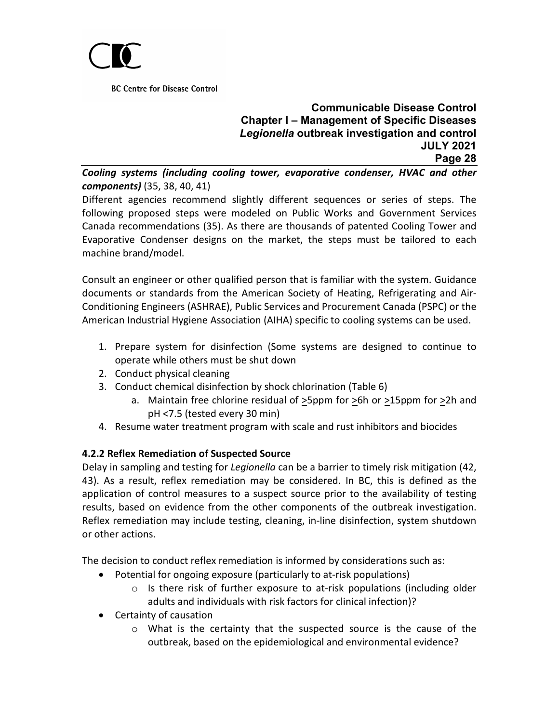

# **Communicable Disease Control Chapter I – Management of Specific Diseases** *Legionella* **outbreak investigation and control JULY 2021 Page 28**

*Cooling systems (including cooling tower, evaporative condenser, HVAC and other components)* (35, 38, 40, 41)

Different agencies recommend slightly different sequences or series of steps. The following proposed steps were modeled on Public Works and Government Services Canada recommendations (35). As there are thousands of patented Cooling Tower and Evaporative Condenser designs on the market, the steps must be tailored to each machine brand/model.

Consult an engineer or other qualified person that is familiar with the system. Guidance documents or standards from the American Society of Heating, Refrigerating and Air-Conditioning Engineers (ASHRAE), Public Services and Procurement Canada (PSPC) or the American Industrial Hygiene Association (AIHA) specific to cooling systems can be used.

- 1. Prepare system for disinfection (Some systems are designed to continue to operate while others must be shut down
- 2. Conduct physical cleaning
- 3. Conduct chemical disinfection by shock chlorination (Table 6)
	- a. Maintain free chlorine residual of  $\geq$ 5ppm for  $\geq$ 6h or  $\geq$ 15ppm for  $\geq$ 2h and pH <7.5 (tested every 30 min)
- 4. Resume water treatment program with scale and rust inhibitors and biocides

### **4.2.2 Reflex Remediation of Suspected Source**

Delay in sampling and testing for *Legionella* can be a barrier to timely risk mitigation (42, 43). As a result, reflex remediation may be considered. In BC, this is defined as the application of control measures to a suspect source prior to the availability of testing results, based on evidence from the other components of the outbreak investigation. Reflex remediation may include testing, cleaning, in-line disinfection, system shutdown or other actions.

The decision to conduct reflex remediation is informed by considerations such as:

- Potential for ongoing exposure (particularly to at-risk populations)
	- $\circ$  Is there risk of further exposure to at-risk populations (including older adults and individuals with risk factors for clinical infection)?
- Certainty of causation
	- $\circ$  What is the certainty that the suspected source is the cause of the outbreak, based on the epidemiological and environmental evidence?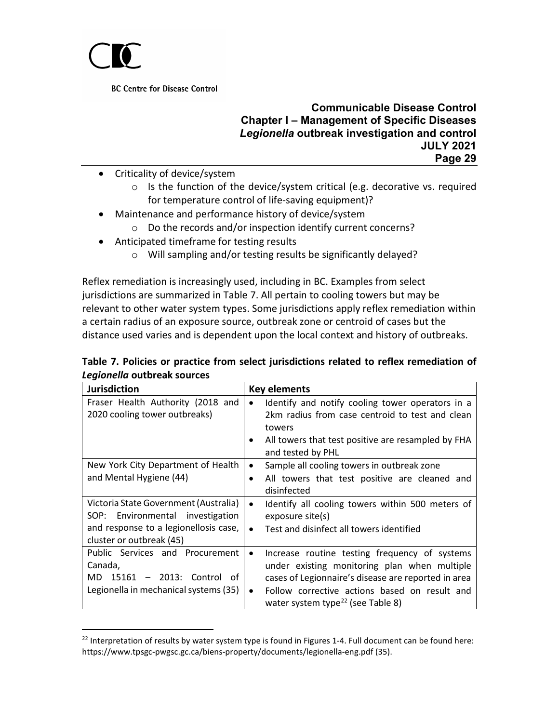

#### **Communicable Disease Control Chapter I – Management of Specific Diseases** *Legionella* **outbreak investigation and control JULY 2021 Page 29**

- Criticality of device/system
	- o Is the function of the device/system critical (e.g. decorative vs. required for temperature control of life-saving equipment)?
- Maintenance and performance history of device/system
	- o Do the records and/or inspection identify current concerns?
- Anticipated timeframe for testing results
	- o Will sampling and/or testing results be significantly delayed?

Reflex remediation is increasingly used, including in BC. Examples from select jurisdictions are summarized in Table 7. All pertain to cooling towers but may be relevant to other water system types. Some jurisdictions apply reflex remediation within a certain radius of an exposure source, outbreak zone or centroid of cases but the distance used varies and is dependent upon the local context and history of outbreaks.

|                             |  |  | Table 7. Policies or practice from select jurisdictions related to reflex remediation of |
|-----------------------------|--|--|------------------------------------------------------------------------------------------|
| Legionella outbreak sources |  |  |                                                                                          |

| <b>Jurisdiction</b>                                                                                                                                  | <b>Key elements</b>                                                                                                                                                                                                                                                              |
|------------------------------------------------------------------------------------------------------------------------------------------------------|----------------------------------------------------------------------------------------------------------------------------------------------------------------------------------------------------------------------------------------------------------------------------------|
| Fraser Health Authority (2018 and<br>2020 cooling tower outbreaks)                                                                                   | Identify and notify cooling tower operators in a<br>2km radius from case centroid to test and clean<br>towers<br>All towers that test positive are resampled by FHA<br>٠<br>and tested by PHL                                                                                    |
| New York City Department of Health<br>and Mental Hygiene (44)                                                                                        | Sample all cooling towers in outbreak zone<br>$\bullet$<br>All towers that test positive are cleaned and<br>disinfected                                                                                                                                                          |
| Victoria State Government (Australia)<br>Environmental<br>investigation<br>SOP:<br>and response to a legionellosis case,<br>cluster or outbreak (45) | Identify all cooling towers within 500 meters of<br>$\bullet$<br>exposure site(s)<br>Test and disinfect all towers identified<br>$\bullet$                                                                                                                                       |
| Public Services and Procurement<br>Canada,<br>MD 15161 - 2013: Control of<br>Legionella in mechanical systems (35)                                   | Increase routine testing frequency of systems<br>$\bullet$<br>under existing monitoring plan when multiple<br>cases of Legionnaire's disease are reported in area<br>Follow corrective actions based on result and<br>$\bullet$<br>water system type <sup>22</sup> (see Table 8) |

<span id="page-28-0"></span> $^{22}$  Interpretation of results by water system type is found in Figures 1-4. Full document can be found here: https://www.tpsgc-pwgsc.gc.ca/biens-property/documents/legionella-eng.pdf (35).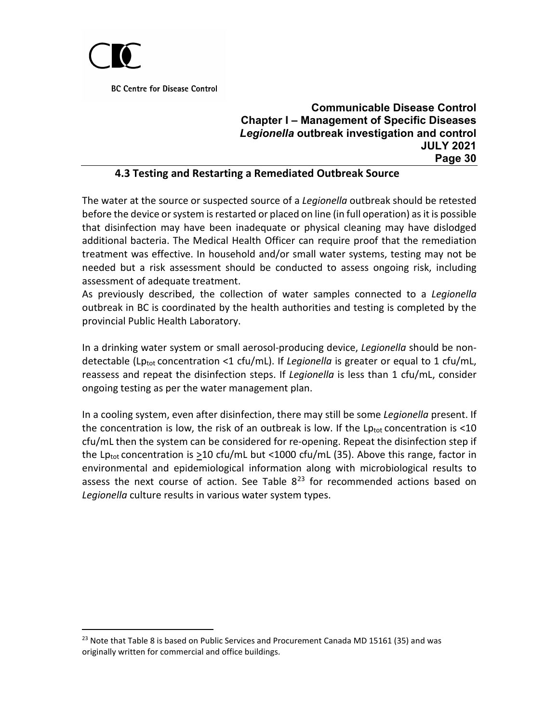

## **Communicable Disease Control Chapter I – Management of Specific Diseases** *Legionella* **outbreak investigation and control JULY 2021 Page 30**

#### **4.3 Testing and Restarting a Remediated Outbreak Source**

<span id="page-29-0"></span>The water at the source or suspected source of a *Legionella* outbreak should be retested before the device or system is restarted or placed on line (in full operation) as it is possible that disinfection may have been inadequate or physical cleaning may have dislodged additional bacteria. The Medical Health Officer can require proof that the remediation treatment was effective. In household and/or small water systems, testing may not be needed but a risk assessment should be conducted to assess ongoing risk, including assessment of adequate treatment.

As previously described, the collection of water samples connected to a *Legionella* outbreak in BC is coordinated by the health authorities and testing is completed by the provincial Public Health Laboratory.

In a drinking water system or small aerosol-producing device, *Legionella* should be nondetectable (Lptot concentration <1 cfu/mL). If *Legionella* is greater or equal to 1 cfu/mL, reassess and repeat the disinfection steps. If *Legionella* is less than 1 cfu/mL, consider ongoing testing as per the water management plan.

In a cooling system, even after disinfection, there may still be some *Legionella* present. If the concentration is low, the risk of an outbreak is low. If the  $Lp_{tot}$  concentration is <10 cfu/mL then the system can be considered for re-opening. Repeat the disinfection step if the Lptot concentration is >10 cfu/mL but <1000 cfu/mL (35). Above this range, factor in environmental and epidemiological information along with microbiological results to assess the next course of action. See Table  $8^{23}$  $8^{23}$  $8^{23}$  for recommended actions based on *Legionella* culture results in various water system types.

<span id="page-29-1"></span> $23$  Note that Table 8 is based on Public Services and Procurement Canada MD 15161 (35) and was originally written for commercial and office buildings.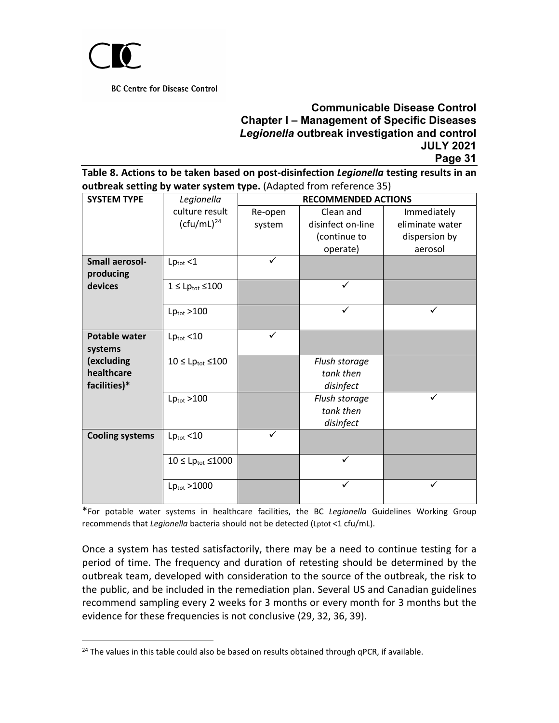

## **Communicable Disease Control Chapter I – Management of Specific Diseases** *Legionella* **outbreak investigation and control JULY 2021 Page 31**

**Table 8. Actions to be taken based on post-disinfection** *Legionella* **testing results in an outbreak setting by water system type.** (Adapted from reference 35)

|                                          |                                   | <b>RECOMMENDED ACTIONS</b> |                                         |                 |  |  |  |
|------------------------------------------|-----------------------------------|----------------------------|-----------------------------------------|-----------------|--|--|--|
| <b>SYSTEM TYPE</b>                       | Legionella                        |                            |                                         |                 |  |  |  |
|                                          | culture result                    | Re-open                    | Clean and                               | Immediately     |  |  |  |
|                                          | $(ct(u/mL)^{24}$                  | system                     | disinfect on-line                       | eliminate water |  |  |  |
|                                          |                                   |                            | (continue to                            | dispersion by   |  |  |  |
|                                          |                                   |                            | operate)                                | aerosol         |  |  |  |
| <b>Small aerosol-</b><br>producing       | $Lp_{\text{tot}}$ <1              | ✓                          |                                         |                 |  |  |  |
| devices                                  | $1 \le Lp_{\text{tot}} \le 100$   |                            | $\checkmark$                            |                 |  |  |  |
|                                          | $Lp_{\text{tot}} > 100$           |                            | $\checkmark$                            | $\checkmark$    |  |  |  |
| <b>Potable water</b><br>systems          | $Lp_{\text{tot}}$ <10             | ✓                          |                                         |                 |  |  |  |
| (excluding<br>healthcare<br>facilities)* | $10 \le Lp_{\text{tot}} \le 100$  |                            | Flush storage<br>tank then<br>disinfect |                 |  |  |  |
|                                          | $Lp_{\text{tot}} > 100$           |                            | Flush storage<br>tank then<br>disinfect | $\checkmark$    |  |  |  |
| <b>Cooling systems</b>                   | $Lp_{\text{tot}}$ <10             | ✓                          |                                         |                 |  |  |  |
|                                          | $10 \le Lp_{\text{tot}} \le 1000$ |                            | ✓                                       |                 |  |  |  |
|                                          | $Lp_{\text{tot}} > 1000$          |                            |                                         | ✓               |  |  |  |

\*For potable water systems in healthcare facilities, the BC *Legionella* Guidelines Working Group recommends that *Legionella* bacteria should not be detected (Lptot <1 cfu/mL).

Once a system has tested satisfactorily, there may be a need to continue testing for a period of time. The frequency and duration of retesting should be determined by the outbreak team, developed with consideration to the source of the outbreak, the risk to the public, and be included in the remediation plan. Several US and Canadian guidelines recommend sampling every 2 weeks for 3 months or every month for 3 months but the evidence for these frequencies is not conclusive (29, 32, 36, 39).

<span id="page-30-0"></span><sup>&</sup>lt;sup>24</sup> The values in this table could also be based on results obtained through qPCR, if available.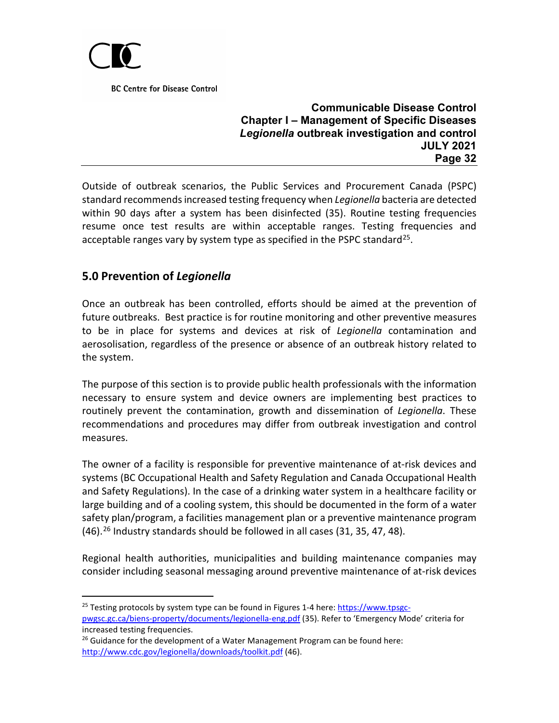

#### **Communicable Disease Control Chapter I – Management of Specific Diseases** *Legionella* **outbreak investigation and control JULY 2021 Page 32**

Outside of outbreak scenarios, the Public Services and Procurement Canada (PSPC) standard recommends increased testing frequency when *Legionella* bacteria are detected within 90 days after a system has been disinfected (35). Routine testing frequencies resume once test results are within acceptable ranges. Testing frequencies and acceptable ranges vary by system type as specified in the PSPC standard<sup>25</sup>.

# <span id="page-31-0"></span>**5.0 Prevention of** *Legionella*

Once an outbreak has been controlled, efforts should be aimed at the prevention of future outbreaks. Best practice is for routine monitoring and other preventive measures to be in place for systems and devices at risk of *Legionella* contamination and aerosolisation, regardless of the presence or absence of an outbreak history related to the system.

The purpose of this section is to provide public health professionals with the information necessary to ensure system and device owners are implementing best practices to routinely prevent the contamination, growth and dissemination of *Legionella*. These recommendations and procedures may differ from outbreak investigation and control measures.

The owner of a facility is responsible for preventive maintenance of at-risk devices and systems (BC Occupational Health and Safety Regulation and Canada Occupational Health and Safety Regulations). In the case of a drinking water system in a healthcare facility or large building and of a cooling system, this should be documented in the form of a water safety plan/program, a facilities management plan or a preventive maintenance program  $(46).$ <sup>[26](#page-31-2)</sup> Industry standards should be followed in all cases  $(31, 35, 47, 48).$ 

Regional health authorities, municipalities and building maintenance companies may consider including seasonal messaging around preventive maintenance of at-risk devices

<span id="page-31-1"></span> $25$  Testing protocols by system type can be found in Figures 1-4 here: [https://www.tpsgc](https://www.tpsgc-pwgsc.gc.ca/biens-property/documents/legionella-eng.pdf)[pwgsc.gc.ca/biens-property/documents/legionella-eng.pdf](https://www.tpsgc-pwgsc.gc.ca/biens-property/documents/legionella-eng.pdf) (35). Refer to 'Emergency Mode' criteria for increased testing frequencies.

<span id="page-31-2"></span> $26$  Guidance for the development of a Water Management Program can be found here: <http://www.cdc.gov/legionella/downloads/toolkit.pdf> (46).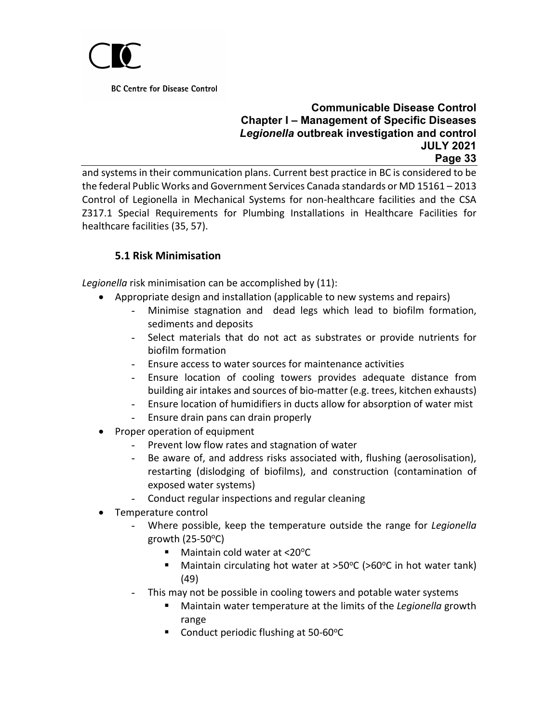

## **Communicable Disease Control Chapter I – Management of Specific Diseases** *Legionella* **outbreak investigation and control JULY 2021 Page 33**

and systems in their communication plans. Current best practice in BC is considered to be the federal Public Works and Government Services Canada standards or MD 15161 – 2013 Control of Legionella in Mechanical Systems for non-healthcare facilities and the CSA Z317.1 Special Requirements for Plumbing Installations in Healthcare Facilities for healthcare facilities (35, 57).

# **5.1 Risk Minimisation**

<span id="page-32-0"></span>*Legionella* risk minimisation can be accomplished by (11):

- Appropriate design and installation (applicable to new systems and repairs)
	- Minimise stagnation and dead legs which lead to biofilm formation, sediments and deposits
	- Select materials that do not act as substrates or provide nutrients for biofilm formation
	- Ensure access to water sources for maintenance activities
	- Ensure location of cooling towers provides adequate distance from building air intakes and sources of bio-matter (e.g. trees, kitchen exhausts)
	- Ensure location of humidifiers in ducts allow for absorption of water mist
	- Ensure drain pans can drain properly
- Proper operation of equipment
	- Prevent low flow rates and stagnation of water
	- Be aware of, and address risks associated with, flushing (aerosolisation), restarting (dislodging of biofilms), and construction (contamination of exposed water systems)
	- Conduct regular inspections and regular cleaning
- Temperature control
	- Where possible, keep the temperature outside the range for *Legionella* growth  $(25-50^{\circ}C)$ 
		- $\blacksquare$  Maintain cold water at <20 $\rm ^oC$
		- **Maintain circulating hot water at >50°C (>60°C in hot water tank)** (49)
	- This may not be possible in cooling towers and potable water systems
		- Maintain water temperature at the limits of the *Legionella* growth range
		- Conduct periodic flushing at 50-60°C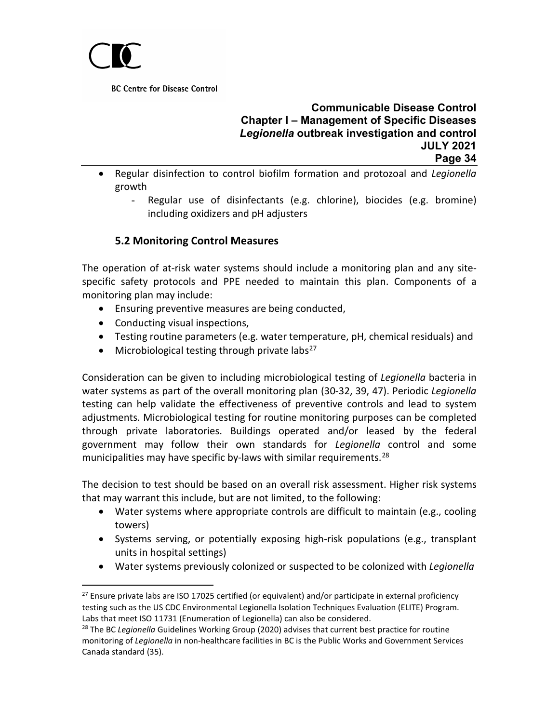

## **Communicable Disease Control Chapter I – Management of Specific Diseases** *Legionella* **outbreak investigation and control JULY 2021 Page 34**

- Regular disinfection to control biofilm formation and protozoal and *Legionella*  growth
	- Regular use of disinfectants (e.g. chlorine), biocides (e.g. bromine) including oxidizers and pH adjusters

# **5.2 Monitoring Control Measures**

<span id="page-33-0"></span>The operation of at-risk water systems should include a monitoring plan and any sitespecific safety protocols and PPE needed to maintain this plan. Components of a monitoring plan may include:

- Ensuring preventive measures are being conducted,
- Conducting visual inspections,
- Testing routine parameters (e.g. water temperature, pH, chemical residuals) and
- Microbiological testing through private labs<sup>[27](#page-33-1)</sup>

Consideration can be given to including microbiological testing of *Legionella* bacteria in water systems as part of the overall monitoring plan (30-32, 39, 47). Periodic *Legionella* testing can help validate the effectiveness of preventive controls and lead to system adjustments. Microbiological testing for routine monitoring purposes can be completed through private laboratories. Buildings operated and/or leased by the federal government may follow their own standards for *Legionella* control and some municipalities may have specific by-laws with similar requirements.<sup>[28](#page-33-2)</sup>

The decision to test should be based on an overall risk assessment. Higher risk systems that may warrant this include, but are not limited, to the following:

- Water systems where appropriate controls are difficult to maintain (e.g., cooling towers)
- Systems serving, or potentially exposing high-risk populations (e.g., transplant units in hospital settings)
- Water systems previously colonized or suspected to be colonized with *Legionella*

<span id="page-33-1"></span> $27$  Ensure private labs are ISO 17025 certified (or equivalent) and/or participate in external proficiency testing such as the US CDC Environmental Legionella Isolation Techniques Evaluation (ELITE) Program. Labs that meet ISO 11731 (Enumeration of Legionella) can also be considered.

<span id="page-33-2"></span><sup>28</sup> The BC *Legionella* Guidelines Working Group (2020) advises that current best practice for routine monitoring of *Legionella* in non-healthcare facilities in BC is the Public Works and Government Services Canada standard (35).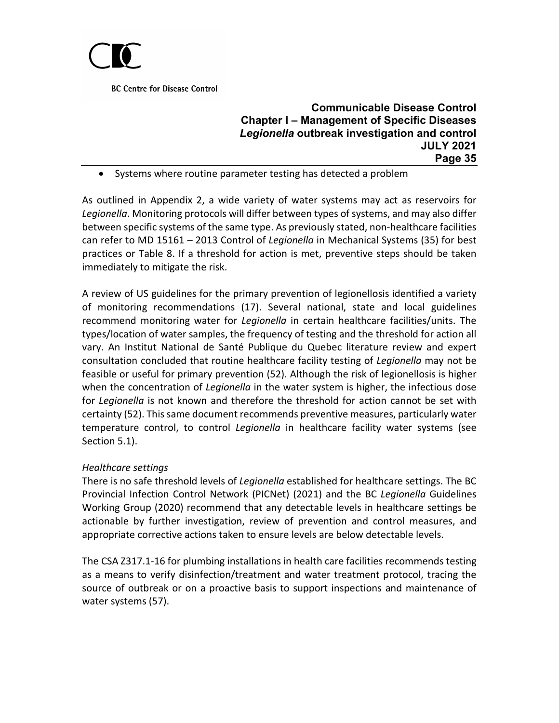

## **Communicable Disease Control Chapter I – Management of Specific Diseases** *Legionella* **outbreak investigation and control JULY 2021 Page 35**

• Systems where routine parameter testing has detected a problem

As outlined in Appendix 2, a wide variety of water systems may act as reservoirs for *Legionella*. Monitoring protocols will differ between types of systems, and may also differ between specific systems of the same type. As previously stated, non-healthcare facilities can refer to MD 15161 – 2013 Control of *Legionella* in Mechanical Systems (35) for best practices or Table 8. If a threshold for action is met, preventive steps should be taken immediately to mitigate the risk.

A review of US guidelines for the primary prevention of legionellosis identified a variety of monitoring recommendations (17). Several national, state and local guidelines recommend monitoring water for *Legionella* in certain healthcare facilities/units. The types/location of water samples, the frequency of testing and the threshold for action all vary. An Institut National de Santé Publique du Quebec literature review and expert consultation concluded that routine healthcare facility testing of *Legionella* may not be feasible or useful for primary prevention (52). Although the risk of legionellosis is higher when the concentration of *Legionella* in the water system is higher, the infectious dose for *Legionella* is not known and therefore the threshold for action cannot be set with certainty (52). This same document recommends preventive measures, particularly water temperature control, to control *Legionella* in healthcare facility water systems (see Section 5.1).

#### *Healthcare settings*

There is no safe threshold levels of *Legionella* established for healthcare settings. The BC Provincial Infection Control Network (PICNet) (2021) and the BC *Legionella* Guidelines Working Group (2020) recommend that any detectable levels in healthcare settings be actionable by further investigation, review of prevention and control measures, and appropriate corrective actions taken to ensure levels are below detectable levels.

The CSA Z317.1-16 for plumbing installations in health care facilities recommends testing as a means to verify disinfection/treatment and water treatment protocol, tracing the source of outbreak or on a proactive basis to support inspections and maintenance of water systems (57).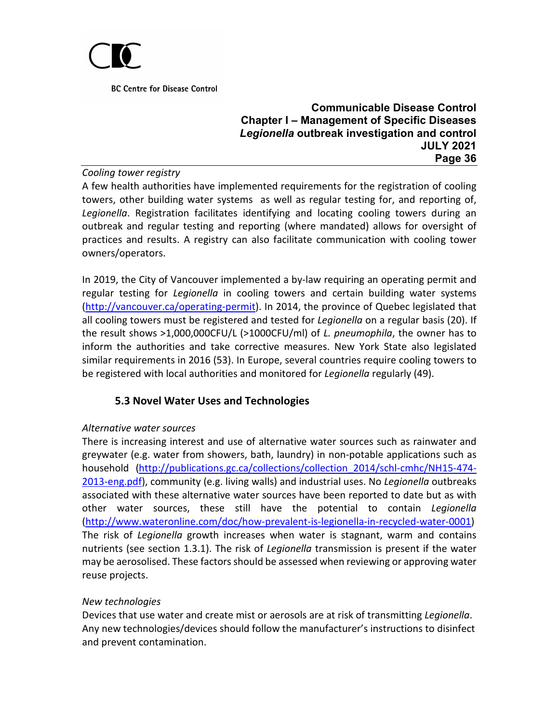

#### **Communicable Disease Control Chapter I – Management of Specific Diseases** *Legionella* **outbreak investigation and control JULY 2021 Page 36**

#### *Cooling tower registry*

A few health authorities have implemented requirements for the registration of cooling towers, other building water systems as well as regular testing for, and reporting of, *Legionella*. Registration facilitates identifying and locating cooling towers during an outbreak and regular testing and reporting (where mandated) allows for oversight of practices and results. A registry can also facilitate communication with cooling tower owners/operators.

In 2019, the City of Vancouver implemented a by-law requiring an operating permit and regular testing for *Legionella* in cooling towers and certain building water systems [\(http://vancouver.ca/operating-permit\)](http://vancouver.ca/operating-permit). In 2014, the province of Quebec legislated that all cooling towers must be registered and tested for *Legionella* on a regular basis (20). If the result shows >1,000,000CFU/L (>1000CFU/ml) of *L. pneumophila*, the owner has to inform the authorities and take corrective measures. New York State also legislated similar requirements in 2016 (53). In Europe, several countries require cooling towers to be registered with local authorities and monitored for *Legionella* regularly (49).

# **5.3 Novel Water Uses and Technologies**

### <span id="page-35-0"></span>*Alternative water sources*

There is increasing interest and use of alternative water sources such as rainwater and greywater (e.g. water from showers, bath, laundry) in non-potable applications such as household [\(http://publications.gc.ca/collections/collection\\_2014/schl-cmhc/NH15-474-](http://publications.gc.ca/collections/collection_2014/schl-cmhc/NH15-474-2013-eng.pdf) [2013-eng.pdf\)](http://publications.gc.ca/collections/collection_2014/schl-cmhc/NH15-474-2013-eng.pdf), community (e.g. living walls) and industrial uses. No *Legionella* outbreaks associated with these alternative water sources have been reported to date but as with other water sources, these still have the potential to contain *Legionella* [\(http://www.wateronline.com/doc/how-prevalent-is-legionella-in-recycled-water-0001\)](http://www.wateronline.com/doc/how-prevalent-is-legionella-in-recycled-water-0001) The risk of *Legionella* growth increases when water is stagnant, warm and contains nutrients (see section 1.3.1). The risk of *Legionella* transmission is present if the water may be aerosolised. These factors should be assessed when reviewing or approving water reuse projects.

#### *New technologies*

Devices that use water and create mist or aerosols are at risk of transmitting *Legionella*. Any new technologies/devices should follow the manufacturer's instructions to disinfect and prevent contamination.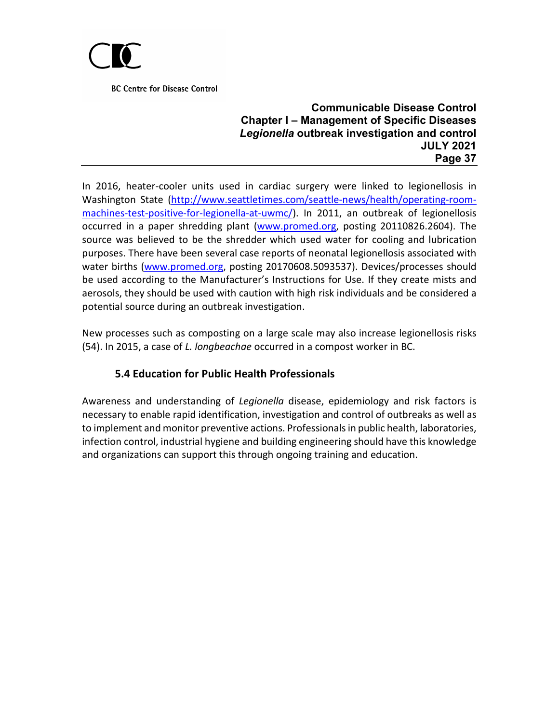

#### **Communicable Disease Control Chapter I – Management of Specific Diseases** *Legionella* **outbreak investigation and control JULY 2021 Page 37**

In 2016, heater-cooler units used in cardiac surgery were linked to legionellosis in Washington State [\(http://www.seattletimes.com/seattle-news/health/operating-room](http://www.seattletimes.com/seattle-news/health/operating-room-machines-test-positive-for-legionella-at-uwmc/)[machines-test-positive-for-legionella-at-uwmc/\)](http://www.seattletimes.com/seattle-news/health/operating-room-machines-test-positive-for-legionella-at-uwmc/). In 2011, an outbreak of legionellosis occurred in a paper shredding plant [\(www.promed.org,](http://www.promed.org/) posting 20110826.2604). The source was believed to be the shredder which used water for cooling and lubrication purposes. There have been several case reports of neonatal legionellosis associated with water births [\(www.promed.org,](http://www.promed.org/) posting 20170608.5093537). Devices/processes should be used according to the Manufacturer's Instructions for Use. If they create mists and aerosols, they should be used with caution with high risk individuals and be considered a potential source during an outbreak investigation.

New processes such as composting on a large scale may also increase legionellosis risks (54). In 2015, a case of *L. longbeachae* occurred in a compost worker in BC.

# **5.4 Education for Public Health Professionals**

<span id="page-36-0"></span>Awareness and understanding of *Legionella* disease, epidemiology and risk factors is necessary to enable rapid identification, investigation and control of outbreaks as well as to implement and monitor preventive actions. Professionals in public health, laboratories, infection control, industrial hygiene and building engineering should have this knowledge and organizations can support this through ongoing training and education.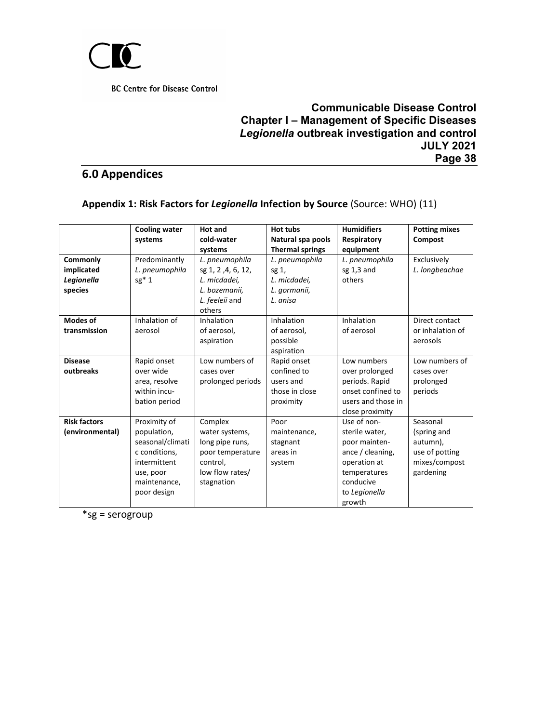

## **Communicable Disease Control Chapter I – Management of Specific Diseases** *Legionella* **outbreak investigation and control JULY 2021 Page 38**

# <span id="page-37-0"></span>**6.0 Appendices**

#### <span id="page-37-1"></span>**Appendix 1: Risk Factors for** *Legionella* **Infection by Source** (Source: WHO) (11)

|                     | <b>Cooling water</b> | Hot and            | Hot tubs               | <b>Humidifiers</b> | <b>Potting mixes</b> |
|---------------------|----------------------|--------------------|------------------------|--------------------|----------------------|
|                     | systems              | cold-water         | Natural spa pools      | Respiratory        | <b>Compost</b>       |
|                     |                      | systems            | <b>Thermal springs</b> | equipment          |                      |
| Commonly            | Predominantly        | L. pneumophila     | L. pneumophila         | L. pneumophila     | Exclusively          |
| implicated          | L. pneumophila       | sg 1, 2, 4, 6, 12, | sg 1,                  | sg $1,3$ and       | L. longbeachae       |
| Legionella          | $sg*1$               | L. micdadei,       | L. micdadei,           | others             |                      |
| species             |                      | L. bozemanii.      | L. gormanii,           |                    |                      |
|                     |                      | L. feeleii and     | L. anisa               |                    |                      |
|                     |                      | others             |                        |                    |                      |
| <b>Modes of</b>     | Inhalation of        | Inhalation         | Inhalation             | Inhalation         | Direct contact       |
| transmission        | aerosol              | of aerosol,        | of aerosol,            | of aerosol         | or inhalation of     |
|                     |                      | aspiration         | possible               |                    | aerosols             |
|                     |                      |                    | aspiration             |                    |                      |
| <b>Disease</b>      | Rapid onset          | Low numbers of     | Rapid onset            | Low numbers        | Low numbers of       |
| outbreaks           | over wide            | cases over         | confined to            | over prolonged     | cases over           |
|                     | area, resolve        | prolonged periods  | users and              | periods. Rapid     | prolonged            |
|                     | within incu-         |                    | those in close         | onset confined to  | periods              |
|                     | bation period        |                    | proximity              | users and those in |                      |
|                     |                      |                    |                        | close proximity    |                      |
| <b>Risk factors</b> | Proximity of         | Complex            | Poor                   | Use of non-        | Seasonal             |
| (environmental)     | population,          | water systems,     | maintenance,           | sterile water,     | (spring and          |
|                     | seasonal/climati     | long pipe runs,    | stagnant               | poor mainten-      | autumn),             |
|                     | c conditions,        | poor temperature   | areas in               | ance / cleaning,   | use of potting       |
|                     | intermittent         | control,           | system                 | operation at       | mixes/compost        |
|                     | use, poor            | low flow rates/    |                        | temperatures       | gardening            |
|                     | maintenance,         | stagnation         |                        | conducive          |                      |
|                     | poor design          |                    |                        | to Legionella      |                      |
|                     |                      |                    |                        | growth             |                      |

\*sg = serogroup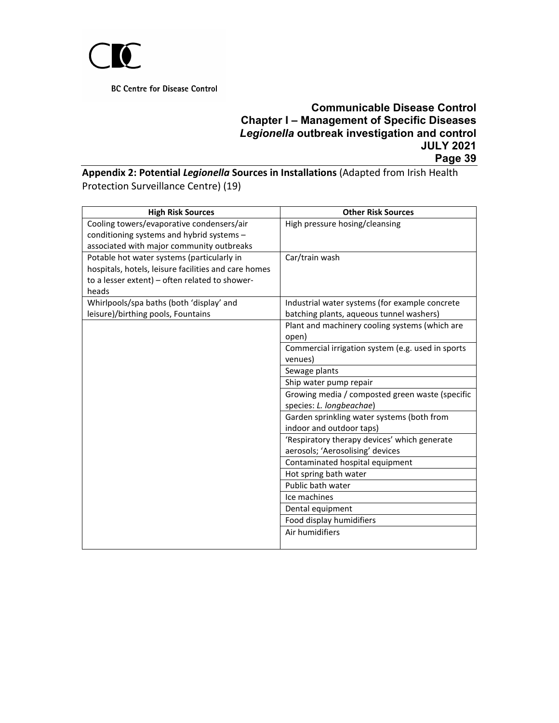

## **Communicable Disease Control Chapter I – Management of Specific Diseases** *Legionella* **outbreak investigation and control JULY 2021 Page 39**

<span id="page-38-0"></span>**Appendix 2: Potential** *Legionella* **Sources in Installations** (Adapted from Irish Health Protection Surveillance Centre) (19)

| <b>High Risk Sources</b>                             | <b>Other Risk Sources</b>                         |
|------------------------------------------------------|---------------------------------------------------|
| Cooling towers/evaporative condensers/air            | High pressure hosing/cleansing                    |
| conditioning systems and hybrid systems -            |                                                   |
| associated with major community outbreaks            |                                                   |
| Potable hot water systems (particularly in           | Car/train wash                                    |
| hospitals, hotels, leisure facilities and care homes |                                                   |
| to a lesser extent) - often related to shower-       |                                                   |
| heads                                                |                                                   |
| Whirlpools/spa baths (both 'display' and             | Industrial water systems (for example concrete    |
| leisure)/birthing pools, Fountains                   | batching plants, aqueous tunnel washers)          |
|                                                      | Plant and machinery cooling systems (which are    |
|                                                      | open)                                             |
|                                                      | Commercial irrigation system (e.g. used in sports |
|                                                      | venues)                                           |
|                                                      | Sewage plants                                     |
|                                                      | Ship water pump repair                            |
|                                                      | Growing media / composted green waste (specific   |
|                                                      | species: L. longbeachae)                          |
|                                                      | Garden sprinkling water systems (both from        |
|                                                      | indoor and outdoor taps)                          |
|                                                      | 'Respiratory therapy devices' which generate      |
|                                                      | aerosols; 'Aerosolising' devices                  |
|                                                      | Contaminated hospital equipment                   |
|                                                      | Hot spring bath water                             |
|                                                      | Public bath water                                 |
|                                                      | Ice machines                                      |
|                                                      | Dental equipment                                  |
|                                                      | Food display humidifiers                          |
|                                                      | Air humidifiers                                   |
|                                                      |                                                   |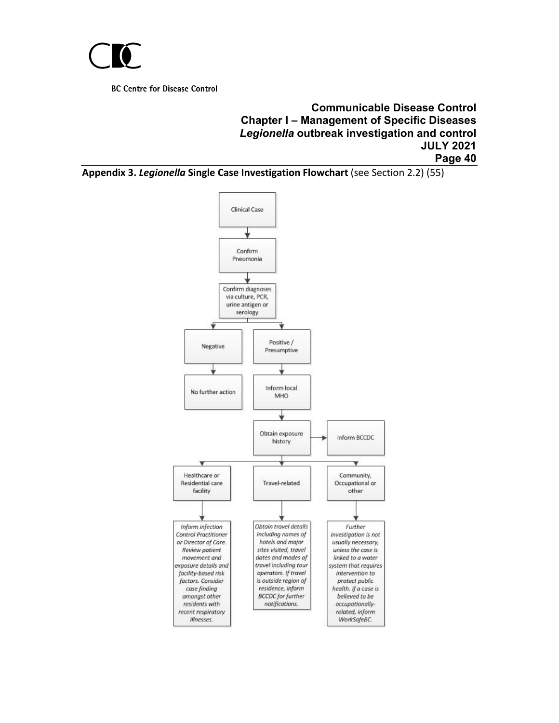

#### **Communicable Disease Control Chapter I – Management of Specific Diseases** *Legionella* **outbreak investigation and control JULY 2021 Page 40**

<span id="page-39-0"></span>**Appendix 3.** *Legionella* **Single Case Investigation Flowchart** (see Section 2.2) (55)

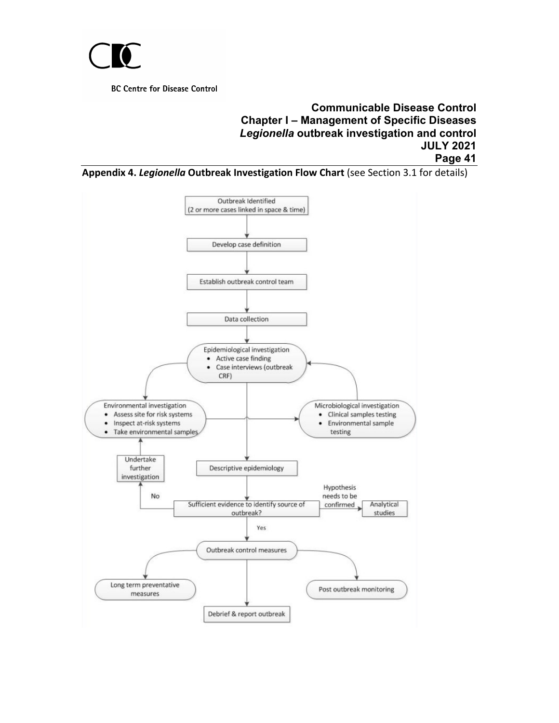

### **Communicable Disease Control Chapter I – Management of Specific Diseases** *Legionella* **outbreak investigation and control JULY 2021 Page 41**

<span id="page-40-0"></span>**Appendix 4.** *Legionella* **Outbreak Investigation Flow Chart** (see Section 3.1 for details)

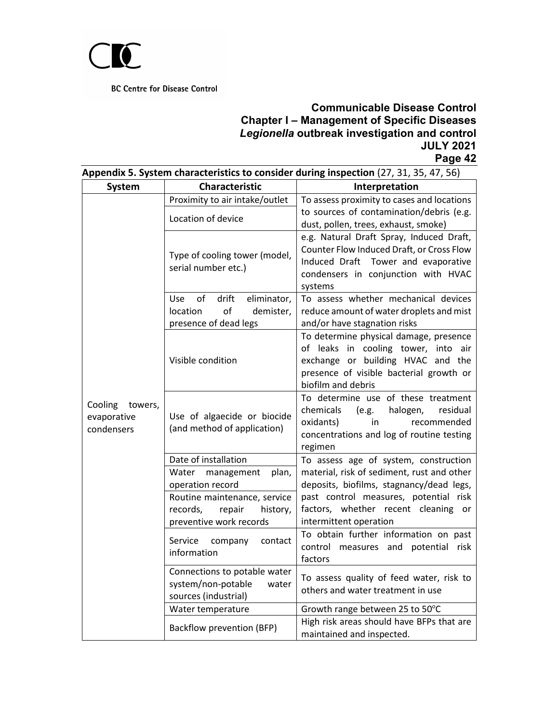

<span id="page-41-0"></span>

| Appendix 5. System characteristics to consider during inspection (27, 31, 35, 47, 56) |                                                                                                                                            |                                                                                                                                                                                                  |  |
|---------------------------------------------------------------------------------------|--------------------------------------------------------------------------------------------------------------------------------------------|--------------------------------------------------------------------------------------------------------------------------------------------------------------------------------------------------|--|
| System                                                                                | Characteristic                                                                                                                             | Interpretation                                                                                                                                                                                   |  |
| Cooling<br>towers,<br>evaporative<br>condensers                                       | Proximity to air intake/outlet<br>Location of device                                                                                       | To assess proximity to cases and locations<br>to sources of contamination/debris (e.g.<br>dust, pollen, trees, exhaust, smoke)                                                                   |  |
|                                                                                       | Type of cooling tower (model,<br>serial number etc.)                                                                                       | e.g. Natural Draft Spray, Induced Draft,<br>Counter Flow Induced Draft, or Cross Flow<br>Induced Draft Tower and evaporative<br>condensers in conjunction with HVAC<br>systems                   |  |
|                                                                                       | eliminator,<br>of<br>drift<br>Use.<br>of<br>location<br>demister,<br>presence of dead legs                                                 | To assess whether mechanical devices<br>reduce amount of water droplets and mist<br>and/or have stagnation risks                                                                                 |  |
|                                                                                       | Visible condition                                                                                                                          | To determine physical damage, presence<br>of leaks in cooling tower, into air<br>exchange or building HVAC and the<br>presence of visible bacterial growth or<br>biofilm and debris              |  |
|                                                                                       | Use of algaecide or biocide<br>(and method of application)                                                                                 | To determine use of these treatment<br>chemicals<br>halogen,<br>(e.g.<br>residual<br>oxidants)<br>recommended<br>in<br>concentrations and log of routine testing<br>regimen                      |  |
|                                                                                       | Date of installation                                                                                                                       | To assess age of system, construction                                                                                                                                                            |  |
|                                                                                       | Water management<br>plan,<br>operation record<br>Routine maintenance, service<br>records,<br>repair<br>history,<br>preventive work records | material, risk of sediment, rust and other<br>deposits, biofilms, stagnancy/dead legs,<br>past control measures, potential risk<br>factors, whether recent cleaning or<br>intermittent operation |  |
|                                                                                       | Service<br>company<br>contact<br>information                                                                                               | To obtain further information on past<br>control measures and potential<br>risk<br>factors                                                                                                       |  |
|                                                                                       | Connections to potable water<br>system/non-potable<br>water<br>sources (industrial)                                                        | To assess quality of feed water, risk to<br>others and water treatment in use                                                                                                                    |  |
|                                                                                       | Water temperature                                                                                                                          | Growth range between 25 to 50°C                                                                                                                                                                  |  |
|                                                                                       | Backflow prevention (BFP)                                                                                                                  | High risk areas should have BFPs that are<br>maintained and inspected.                                                                                                                           |  |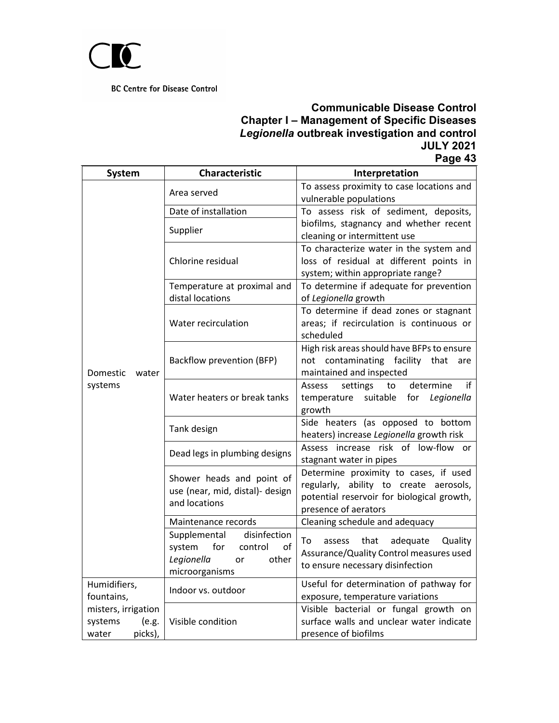

| <b>System</b>                                               | <b>Characteristic</b><br>Interpretation                                                                                                      |                                                                                                                                                       |  |
|-------------------------------------------------------------|----------------------------------------------------------------------------------------------------------------------------------------------|-------------------------------------------------------------------------------------------------------------------------------------------------------|--|
|                                                             | Area served                                                                                                                                  | To assess proximity to case locations and<br>vulnerable populations                                                                                   |  |
|                                                             | Date of installation                                                                                                                         | To assess risk of sediment, deposits,                                                                                                                 |  |
|                                                             | Supplier                                                                                                                                     | biofilms, stagnancy and whether recent<br>cleaning or intermittent use                                                                                |  |
|                                                             | To characterize water in the system and<br>Chlorine residual<br>loss of residual at different points in<br>system; within appropriate range? |                                                                                                                                                       |  |
|                                                             | Temperature at proximal and<br>distal locations                                                                                              | To determine if adequate for prevention<br>of Legionella growth                                                                                       |  |
| Domestic<br>water<br>systems                                | Water recirculation                                                                                                                          | To determine if dead zones or stagnant<br>areas; if recirculation is continuous or<br>scheduled                                                       |  |
|                                                             | Backflow prevention (BFP)                                                                                                                    | High risk areas should have BFPs to ensure<br>not contaminating facility that<br>are<br>maintained and inspected                                      |  |
|                                                             | Water heaters or break tanks                                                                                                                 | if<br>determine<br><b>Assess</b><br>settings<br>to<br>suitable<br>for Legionella<br>temperature<br>growth                                             |  |
|                                                             | Tank design                                                                                                                                  | Side heaters (as opposed to bottom<br>heaters) increase Legionella growth risk                                                                        |  |
|                                                             | Dead legs in plumbing designs                                                                                                                | Assess increase risk of low-flow or<br>stagnant water in pipes                                                                                        |  |
|                                                             | Shower heads and point of<br>use (near, mid, distal)- design<br>and locations                                                                | Determine proximity to cases, if used<br>regularly, ability to create aerosols,<br>potential reservoir for biological growth,<br>presence of aerators |  |
|                                                             | Maintenance records                                                                                                                          | Cleaning schedule and adequacy                                                                                                                        |  |
|                                                             | disinfection<br>Supplemental<br>system<br>for<br>control<br>οf<br>Legionella<br>other<br>or<br>microorganisms                                | adequate<br>To<br>assess<br>that<br>Quality<br>Assurance/Quality Control measures used<br>to ensure necessary disinfection                            |  |
| Humidifiers,<br>fountains,                                  | Indoor vs. outdoor                                                                                                                           | Useful for determination of pathway for<br>exposure, temperature variations                                                                           |  |
| misters, irrigation<br>systems<br>(e.g.<br>picks),<br>water | Visible condition                                                                                                                            | Visible bacterial or fungal growth on<br>surface walls and unclear water indicate<br>presence of biofilms                                             |  |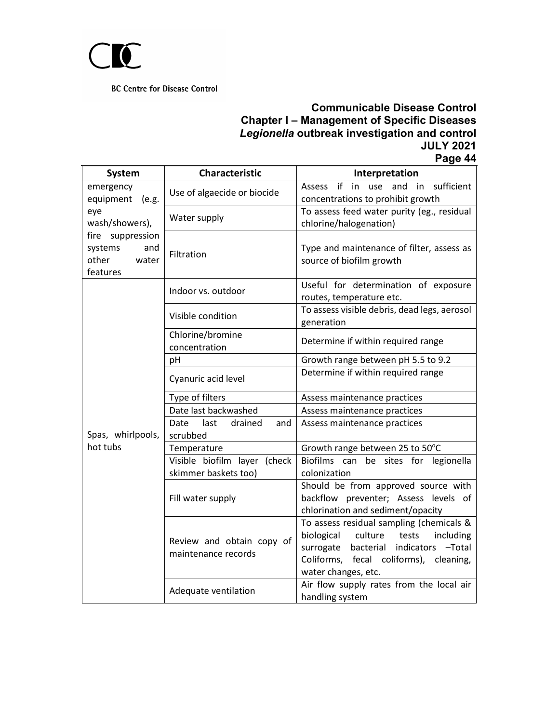

| System                                                           | Characteristic                                       | Interpretation                                                                                                                                                                                       |  |
|------------------------------------------------------------------|------------------------------------------------------|------------------------------------------------------------------------------------------------------------------------------------------------------------------------------------------------------|--|
| emergency<br>equipment<br>(e.g.                                  | Use of algaecide or biocide                          | sufficient<br>Assess if<br>in<br>use<br>and<br>in<br>concentrations to prohibit growth                                                                                                               |  |
| eye<br>wash/showers),                                            | Water supply                                         | To assess feed water purity (eg., residual<br>chlorine/halogenation)                                                                                                                                 |  |
| fire suppression<br>systems<br>and<br>other<br>water<br>features | Filtration                                           | Type and maintenance of filter, assess as<br>source of biofilm growth                                                                                                                                |  |
|                                                                  | Indoor vs. outdoor                                   | Useful for determination of exposure<br>routes, temperature etc.                                                                                                                                     |  |
|                                                                  | Visible condition                                    | To assess visible debris, dead legs, aerosol<br>generation                                                                                                                                           |  |
|                                                                  | Chlorine/bromine<br>concentration                    | Determine if within required range                                                                                                                                                                   |  |
|                                                                  | pH                                                   | Growth range between pH 5.5 to 9.2                                                                                                                                                                   |  |
|                                                                  | Cyanuric acid level                                  | Determine if within required range                                                                                                                                                                   |  |
|                                                                  | Type of filters                                      | Assess maintenance practices                                                                                                                                                                         |  |
|                                                                  | Date last backwashed                                 | Assess maintenance practices                                                                                                                                                                         |  |
| Spas, whirlpools,                                                | Date<br>drained<br>last<br>and<br>scrubbed           | Assess maintenance practices                                                                                                                                                                         |  |
| hot tubs                                                         | Growth range between 25 to 50°C<br>Temperature       |                                                                                                                                                                                                      |  |
|                                                                  | Visible biofilm layer (check<br>skimmer baskets too) | Biofilms can<br>be sites for legionella<br>colonization                                                                                                                                              |  |
|                                                                  | Fill water supply                                    | Should be from approved source with<br>backflow preventer; Assess levels of<br>chlorination and sediment/opacity                                                                                     |  |
|                                                                  | Review and obtain copy of<br>maintenance records     | To assess residual sampling (chemicals &<br>biological<br>culture<br>tests<br>including<br>indicators -Total<br>surrogate bacterial<br>Coliforms, fecal coliforms), cleaning,<br>water changes, etc. |  |
|                                                                  | Adequate ventilation                                 | Air flow supply rates from the local air<br>handling system                                                                                                                                          |  |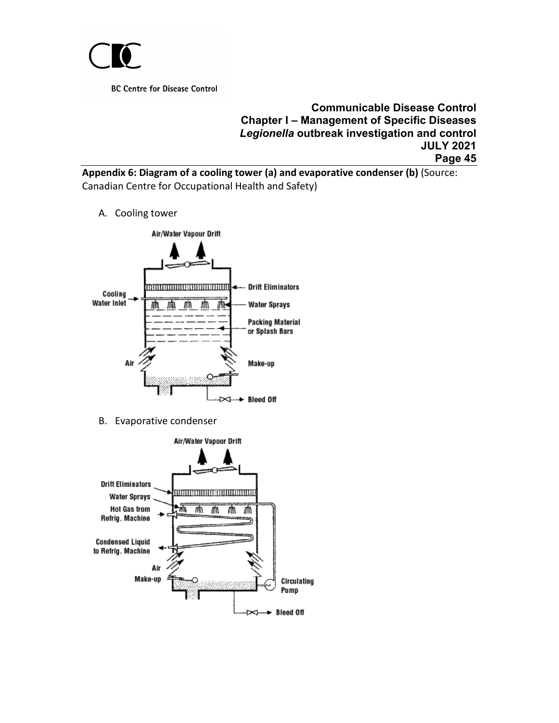

**Communicable Disease Control Chapter I – Management of Specific Diseases** *Legionella* **outbreak investigation and control JULY 2021 Page 45**

<span id="page-44-0"></span>**Appendix 6: Diagram of a cooling tower (a) and evaporative condenser (b)** (Source: Canadian Centre for Occupational Health and Safety)

A. Cooling tower



B. Evaporative condenser

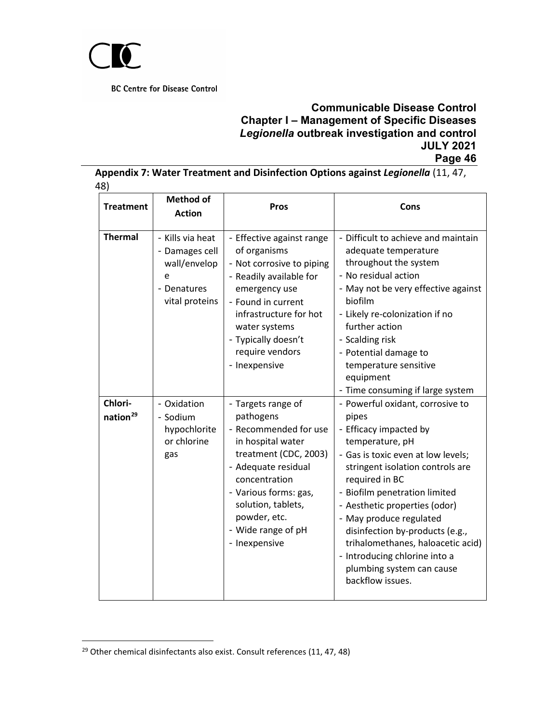

# **Communicable Disease Control Chapter I – Management of Specific Diseases** *Legionella* **outbreak investigation and control JULY 2021 Page 46**

<span id="page-45-0"></span>**Appendix 7: Water Treatment and Disinfection Options against** *Legionella* (11, 47, 48)

| <b>Treatment</b>                | <b>Method of</b><br><b>Action</b>                                                        | <b>Pros</b>                                                                                                                                                                                                                                          | Cons                                                                                                                                                                                                                                                                                                                                                                                                                                      |
|---------------------------------|------------------------------------------------------------------------------------------|------------------------------------------------------------------------------------------------------------------------------------------------------------------------------------------------------------------------------------------------------|-------------------------------------------------------------------------------------------------------------------------------------------------------------------------------------------------------------------------------------------------------------------------------------------------------------------------------------------------------------------------------------------------------------------------------------------|
| <b>Thermal</b>                  | - Kills via heat<br>- Damages cell<br>wall/envelop<br>e<br>- Denatures<br>vital proteins | - Effective against range<br>of organisms<br>- Not corrosive to piping<br>- Readily available for<br>emergency use<br>- Found in current<br>infrastructure for hot<br>water systems<br>- Typically doesn't<br>require vendors<br>- Inexpensive       | - Difficult to achieve and maintain<br>adequate temperature<br>throughout the system<br>- No residual action<br>- May not be very effective against<br>biofilm<br>- Likely re-colonization if no<br>further action<br>- Scalding risk<br>- Potential damage to<br>temperature sensitive<br>equipment<br>- Time consuming if large system                                                                                                  |
| Chlori-<br>nation <sup>29</sup> | - Oxidation<br>- Sodium<br>hypochlorite<br>or chlorine<br>gas                            | - Targets range of<br>pathogens<br>- Recommended for use<br>in hospital water<br>treatment (CDC, 2003)<br>- Adequate residual<br>concentration<br>- Various forms: gas,<br>solution, tablets,<br>powder, etc.<br>- Wide range of pH<br>- Inexpensive | - Powerful oxidant, corrosive to<br>pipes<br>- Efficacy impacted by<br>temperature, pH<br>- Gas is toxic even at low levels;<br>stringent isolation controls are<br>required in BC<br>- Biofilm penetration limited<br>- Aesthetic properties (odor)<br>- May produce regulated<br>disinfection by-products (e.g.,<br>trihalomethanes, haloacetic acid)<br>- Introducing chlorine into a<br>plumbing system can cause<br>backflow issues. |

<span id="page-45-2"></span><span id="page-45-1"></span> $29$  Other chemical disinfectants also exist. Consult references (11, 47, 48)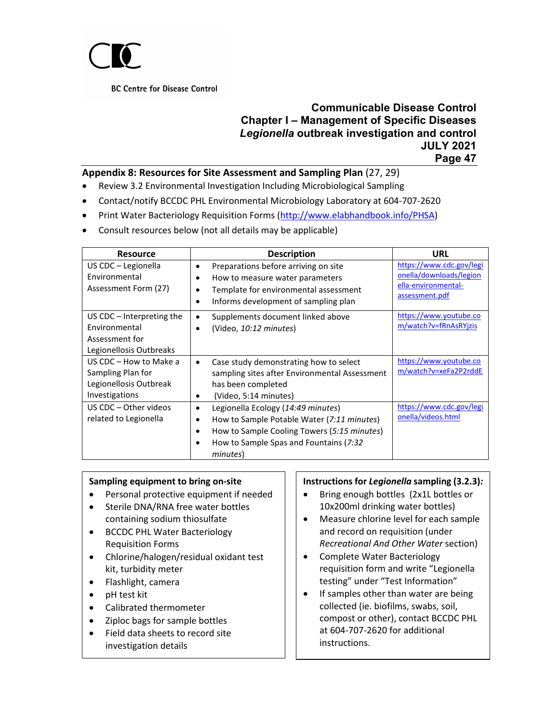

#### **Communicable Disease Control Chapter I – Management of Specific Diseases** *Legionella* **outbreak investigation and control JULY 2021 Page 47**

#### **Appendix 8: Resources for Site Assessment and Sampling Plan** (27, 29)

- Review 3.2 Environmental Investigation Including Microbiological Sampling
- Contact/notify BCCDC PHL Environmental Microbiology Laboratory at 604-707-2620
- Print Water Bacteriology Requisition Forms [\(http://www.elabhandbook.info/PHSA\)](http://www.elabhandbook.info/PHSA)
- Consult resources below (not all details may be applicable)

| <b>Resource</b>                                                                           | <b>Description</b>                                                                                                                                                                                                                | URL                                                                                          |
|-------------------------------------------------------------------------------------------|-----------------------------------------------------------------------------------------------------------------------------------------------------------------------------------------------------------------------------------|----------------------------------------------------------------------------------------------|
| US CDC – Legionella<br>Environmental<br>Assessment Form (27)                              | Preparations before arriving on site<br>٠<br>How to measure water parameters<br>٠<br>Template for environmental assessment<br>٠<br>Informs development of sampling plan<br>٠                                                      | https://www.cdc.gov/legi<br>onella/downloads/legion<br>ella-environmental-<br>assessment.pdf |
| US CDC $-$ Interpreting the<br>Environmental<br>Assessment for<br>Legionellosis Outbreaks | Supplements document linked above<br>$\bullet$<br>(Video, 10:12 minutes)<br>$\bullet$                                                                                                                                             | https://www.youtube.co<br>m/watch?v=fRnAsRYjzis                                              |
| US CDC - How to Make a<br>Sampling Plan for<br>Legionellosis Outbreak<br>Investigations   | Case study demonstrating how to select<br>$\bullet$<br>sampling sites after Environmental Assessment<br>has been completed<br>(Video, 5:14 minutes)<br>٠                                                                          | https://www.youtube.co<br>m/watch?v=xeFa2P2rddE                                              |
| US CDC - Other videos<br>related to Legionella                                            | Legionella Ecology (14:49 minutes)<br>$\bullet$<br>How to Sample Potable Water (7:11 minutes)<br>٠<br>How to Sample Cooling Towers (5:15 minutes)<br>$\bullet$<br>How to Sample Spas and Fountains (7:32<br>$\bullet$<br>minutes) | https://www.cdc.gov/legi<br>onella/videos.html                                               |

#### **Sampling equipment to bring on-site**

- Personal protective equipment if needed
- Sterile DNA/RNA free water bottles containing sodium thiosulfate
- BCCDC PHL Water Bacteriology Requisition Forms
- Chlorine/halogen/residual oxidant test kit, turbidity meter
- Flashlight, camera
- pH test kit
- Calibrated thermometer
- Ziploc bags for sample bottles
- Field data sheets to record site investigation details

#### **Instructions for** *Legionella* **sampling (3.2.3)***:*

- Bring enough bottles (2x1L bottles or 10x200ml drinking water bottles)
- Measure chlorine level for each sample and record on requisition (under *Recreational And Other Water* section)
- Complete Water Bacteriology requisition form and write "Legionella testing" under "Test Information"
- If samples other than water are being collected (ie. biofilms, swabs, soil, compost or other), contact BCCDC PHL at 604-707-2620 for additional instructions.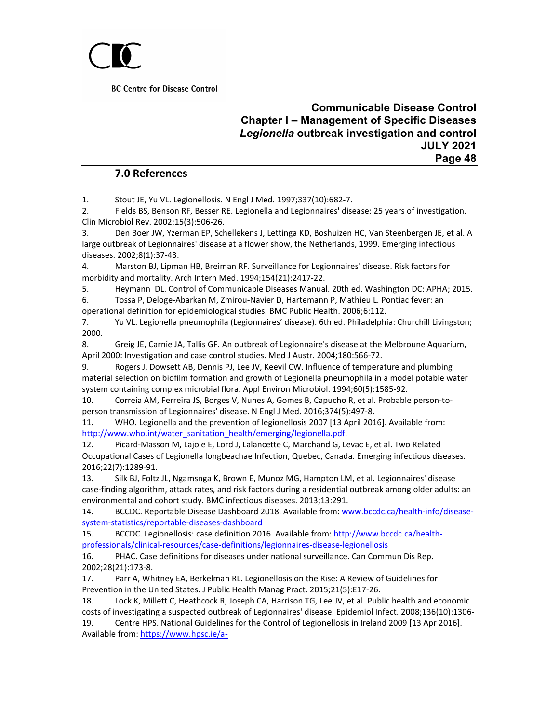

#### **Communicable Disease Control Chapter I – Management of Specific Diseases** *Legionella* **outbreak investigation and control JULY 2021 Page 48**

#### **7.0 References**

<span id="page-47-0"></span>1. Stout JE, Yu VL. Legionellosis. N Engl J Med. 1997;337(10):682-7.

2. Fields BS, Benson RF, Besser RE. Legionella and Legionnaires' disease: 25 years of investigation. Clin Microbiol Rev. 2002;15(3):506-26.

3. Den Boer JW, Yzerman EP, Schellekens J, Lettinga KD, Boshuizen HC, Van Steenbergen JE, et al. A large outbreak of Legionnaires' disease at a flower show, the Netherlands, 1999. Emerging infectious diseases. 2002;8(1):37-43.

4. Marston BJ, Lipman HB, Breiman RF. Surveillance for Legionnaires' disease. Risk factors for morbidity and mortality. Arch Intern Med. 1994;154(21):2417-22.

5. Heymann DL. Control of Communicable Diseases Manual. 20th ed. Washington DC: APHA; 2015. 6. Tossa P, Deloge-Abarkan M, Zmirou-Navier D, Hartemann P, Mathieu L. Pontiac fever: an

operational definition for epidemiological studies. BMC Public Health. 2006;6:112.

7. Yu VL. Legionella pneumophila (Legionnaires' disease). 6th ed. Philadelphia: Churchill Livingston; 2000.

8. Greig JE, Carnie JA, Tallis GF. An outbreak of Legionnaire's disease at the Melbroune Aquarium, April 2000: Investigation and case control studies. Med J Austr. 2004;180:566-72.

9. Rogers J, Dowsett AB, Dennis PJ, Lee JV, Keevil CW. Influence of temperature and plumbing material selection on biofilm formation and growth of Legionella pneumophila in a model potable water system containing complex microbial flora. Appl Environ Microbiol. 1994;60(5):1585-92.

10. Correia AM, Ferreira JS, Borges V, Nunes A, Gomes B, Capucho R, et al. Probable person-toperson transmission of Legionnaires' disease. N Engl J Med. 2016;374(5):497-8.

11. WHO. Legionella and the prevention of legionellosis 2007 [13 April 2016]. Available from: [http://www.who.int/water\\_sanitation\\_health/emerging/legionella.pdf.](http://www.who.int/water_sanitation_health/emerging/legionella.pdf)

12. Picard-Masson M, Lajoie E, Lord J, Lalancette C, Marchand G, Levac E, et al. Two Related Occupational Cases of Legionella longbeachae Infection, Quebec, Canada. Emerging infectious diseases. 2016;22(7):1289-91.

13. Silk BJ, Foltz JL, Ngamsnga K, Brown E, Munoz MG, Hampton LM, et al. Legionnaires' disease case-finding algorithm, attack rates, and risk factors during a residential outbreak among older adults: an environmental and cohort study. BMC infectious diseases. 2013;13:291.

14. BCCDC. Reportable Disease Dashboard 2018. Available from[: www.bccdc.ca/health-info/disease](http://www.bccdc.ca/health-info/disease-system-statistics/reportable-diseases-dashboard)[system-statistics/reportable-diseases-dashboard](http://www.bccdc.ca/health-info/disease-system-statistics/reportable-diseases-dashboard)

15. BCCDC. Legionellosis: case definition 2016. Available from: [http://www.bccdc.ca/health](http://www.bccdc.ca/health-professionals/clinical-resources/case-definitions/legionnaires-disease-legionellosis)[professionals/clinical-resources/case-definitions/legionnaires-disease-legionellosis](http://www.bccdc.ca/health-professionals/clinical-resources/case-definitions/legionnaires-disease-legionellosis)

16. PHAC. Case definitions for diseases under national surveillance. Can Commun Dis Rep. 2002;28(21):173-8.

17. Parr A, Whitney EA, Berkelman RL. Legionellosis on the Rise: A Review of Guidelines for Prevention in the United States. J Public Health Manag Pract. 2015;21(5):E17-26.

18. Lock K, Millett C, Heathcock R, Joseph CA, Harrison TG, Lee JV, et al. Public health and economic costs of investigating a suspected outbreak of Legionnaires' disease. Epidemiol Infect. 2008;136(10):1306-

19. Centre HPS. National Guidelines for the Control of Legionellosis in Ireland 2009 [13 Apr 2016]. Available from: [https://www.hpsc.ie/a-](https://www.hpsc.ie/a-z/respiratory/legionellosis/guidance/nationalguidelinesforthecontroloflegionellosisinireland/File,3936,en.pdf)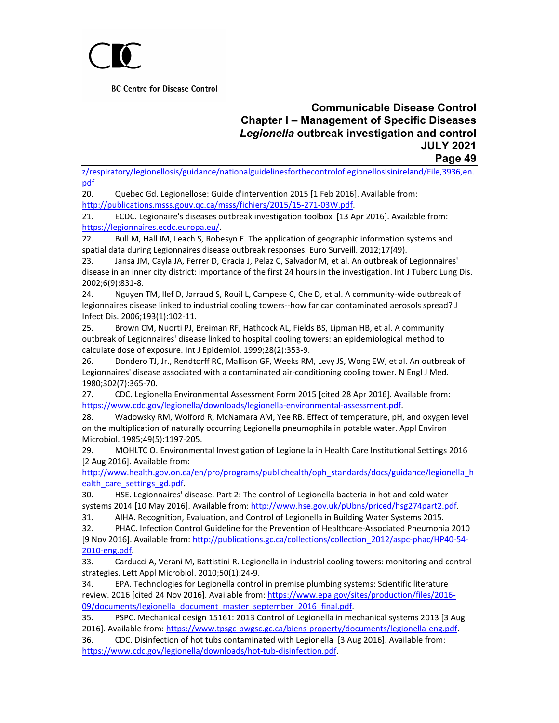

#### **Communicable Disease Control Chapter I – Management of Specific Diseases** *Legionella* **outbreak investigation and control JULY 2021 Page 49**

[z/respiratory/legionellosis/guidance/nationalguidelinesforthecontroloflegionellosisinireland/File,3936,en.](https://www.hpsc.ie/a-z/respiratory/legionellosis/guidance/nationalguidelinesforthecontroloflegionellosisinireland/File,3936,en.pdf) [pdf](https://www.hpsc.ie/a-z/respiratory/legionellosis/guidance/nationalguidelinesforthecontroloflegionellosisinireland/File,3936,en.pdf)

20. Quebec Gd. Legionellose: Guide d'intervention 2015 [1 Feb 2016]. Available from: [http://publications.msss.gouv.qc.ca/msss/fichiers/2015/15-271-03W.pdf.](http://publications.msss.gouv.qc.ca/msss/fichiers/2015/15-271-03W.pdf)

21. ECDC. Legionaire's diseases outbreak investigation toolbox [13 Apr 2016]. Available from: [https://legionnaires.ecdc.europa.eu/.](https://legionnaires.ecdc.europa.eu/)

22. Bull M, Hall IM, Leach S, Robesyn E. The application of geographic information systems and spatial data during Legionnaires disease outbreak responses. Euro Surveill. 2012;17(49).

23. Jansa JM, Cayla JA, Ferrer D, Gracia J, Pelaz C, Salvador M, et al. An outbreak of Legionnaires' disease in an inner city district: importance of the first 24 hours in the investigation. Int J Tuberc Lung Dis. 2002;6(9):831-8.

24. Nguyen TM, Ilef D, Jarraud S, Rouil L, Campese C, Che D, et al. A community-wide outbreak of legionnaires disease linked to industrial cooling towers--how far can contaminated aerosols spread? J Infect Dis. 2006;193(1):102-11.

25. Brown CM, Nuorti PJ, Breiman RF, Hathcock AL, Fields BS, Lipman HB, et al. A community outbreak of Legionnaires' disease linked to hospital cooling towers: an epidemiological method to calculate dose of exposure. Int J Epidemiol. 1999;28(2):353-9.

26. Dondero TJ, Jr., Rendtorff RC, Mallison GF, Weeks RM, Levy JS, Wong EW, et al. An outbreak of Legionnaires' disease associated with a contaminated air-conditioning cooling tower. N Engl J Med. 1980;302(7):365-70.

27. CDC. Legionella Environmental Assessment Form 2015 [cited 28 Apr 2016]. Available from: [https://www.cdc.gov/legionella/downloads/legionella-environmental-assessment.pdf.](https://www.cdc.gov/legionella/downloads/legionella-environmental-assessment.pdf)

28. Wadowsky RM, Wolford R, McNamara AM, Yee RB. Effect of temperature, pH, and oxygen level on the multiplication of naturally occurring Legionella pneumophila in potable water. Appl Environ Microbiol. 1985;49(5):1197-205.

29. MOHLTC O. Environmental Investigation of Legionella in Health Care Institutional Settings 2016 [2 Aug 2016]. Available from:

[http://www.health.gov.on.ca/en/pro/programs/publichealth/oph\\_standards/docs/guidance/legionella\\_h](http://www.health.gov.on.ca/en/pro/programs/publichealth/oph_standards/docs/guidance/legionella_health_care_settings_gd.pdf) ealth\_care\_settings\_gd.pdf

30. HSE. Legionnaires' disease. Part 2: The control of Legionella bacteria in hot and cold water systems 2014 [10 May 2016]. Available from: [http://www.hse.gov.uk/pUbns/priced/hsg274part2.pdf.](http://www.hse.gov.uk/pUbns/priced/hsg274part2.pdf)

31. AIHA. Recognition, Evaluation, and Control of Legionella in Building Water Systems 2015.

32. PHAC. Infection Control Guideline for the Prevention of Healthcare-Associated Pneumonia 2010 [9 Nov 2016]. Available from: [http://publications.gc.ca/collections/collection\\_2012/aspc-phac/HP40-54-](http://publications.gc.ca/collections/collection_2012/aspc-phac/HP40-54-2010-eng.pdf) [2010-eng.pdf.](http://publications.gc.ca/collections/collection_2012/aspc-phac/HP40-54-2010-eng.pdf)

33. Carducci A, Verani M, Battistini R. Legionella in industrial cooling towers: monitoring and control strategies. Lett Appl Microbiol. 2010;50(1):24-9.

34. EPA. Technologies for Legionella control in premise plumbing systems: Scientific literature review. 2016 [cited 24 Nov 2016]. Available from: [https://www.epa.gov/sites/production/files/2016-](https://www.epa.gov/sites/production/files/2016-09/documents/legionella_document_master_september_2016_final.pdf) [09/documents/legionella\\_document\\_master\\_september\\_2016\\_final.pdf.](https://www.epa.gov/sites/production/files/2016-09/documents/legionella_document_master_september_2016_final.pdf)

35. PSPC. Mechanical design 15161: 2013 Control of Legionella in mechanical systems 2013 [3 Aug 2016]. Available from: [https://www.tpsgc-pwgsc.gc.ca/biens-property/documents/legionella-eng.pdf.](https://www.tpsgc-pwgsc.gc.ca/biens-property/documents/legionella-eng.pdf)

36. CDC. Disinfection of hot tubs contaminated with Legionella [3 Aug 2016]. Available from: [https://www.cdc.gov/legionella/downloads/hot-tub-disinfection.pdf.](https://www.cdc.gov/legionella/downloads/hot-tub-disinfection.pdf)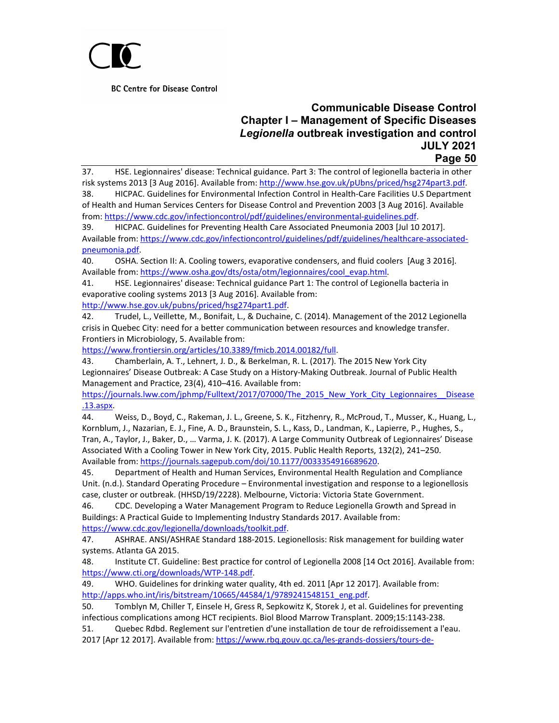

#### **Communicable Disease Control Chapter I – Management of Specific Diseases** *Legionella* **outbreak investigation and control JULY 2021 Page 50**

37. HSE. Legionnaires' disease: Technical guidance. Part 3: The control of legionella bacteria in other risk systems 2013 [3 Aug 2016]. Available from[: http://www.hse.gov.uk/pUbns/priced/hsg274part3.pdf.](http://www.hse.gov.uk/pUbns/priced/hsg274part3.pdf)

38. HICPAC. Guidelines for Environmental Infection Control in Health-Care Facilities U.S Department of Health and Human Services Centers for Disease Control and Prevention 2003 [3 Aug 2016]. Available from[: https://www.cdc.gov/infectioncontrol/pdf/guidelines/environmental-guidelines.pdf.](https://www.cdc.gov/infectioncontrol/pdf/guidelines/environmental-guidelines.pdf)

39. HICPAC. Guidelines for Preventing Health Care Associated Pneumonia 2003 [Jul 10 2017]. Available from: [https://www.cdc.gov/infectioncontrol/guidelines/pdf/guidelines/healthcare-associated](https://www.cdc.gov/infectioncontrol/guidelines/pdf/guidelines/healthcare-associated-pneumonia.pdf)[pneumonia.pdf.](https://www.cdc.gov/infectioncontrol/guidelines/pdf/guidelines/healthcare-associated-pneumonia.pdf)

40. OSHA. Section II: A. Cooling towers, evaporative condensers, and fluid coolers [Aug 3 2016]. Available from: [https://www.osha.gov/dts/osta/otm/legionnaires/cool\\_evap.html.](https://www.osha.gov/dts/osta/otm/legionnaires/cool_evap.html)

41. HSE. Legionnaires' disease: Technical guidance Part 1: The control of Legionella bacteria in evaporative cooling systems 2013 [3 Aug 2016]. Available from:

[http://www.hse.gov.uk/pubns/priced/hsg274part1.pdf.](http://www.hse.gov.uk/pubns/priced/hsg274part1.pdf)

42. Trudel, L., Veillette, M., Bonifait, L., & Duchaine, C. (2014). Management of the 2012 Legionella crisis in Quebec City: need for a better communication between resources and knowledge transfer. Frontiers in Microbiology, 5. Available from:

[https://www.frontiersin.org/articles/10.3389/fmicb.2014.00182/full.](https://www.frontiersin.org/articles/10.3389/fmicb.2014.00182/full)

43. Chamberlain, A. T., Lehnert, J. D., & Berkelman, R. L. (2017). The 2015 New York City Legionnaires' Disease Outbreak: A Case Study on a History-Making Outbreak. Journal of Public Health Management and Practice, 23(4), 410–416. Available from:

[https://journals.lww.com/jphmp/Fulltext/2017/07000/The\\_2015\\_New\\_York\\_City\\_Legionnaires\\_\\_Disease](https://journals.lww.com/jphmp/Fulltext/2017/07000/The_2015_New_York_City_Legionnaires__Disease.13.aspx) [.13.aspx.](https://journals.lww.com/jphmp/Fulltext/2017/07000/The_2015_New_York_City_Legionnaires__Disease.13.aspx)

44. Weiss, D., Boyd, C., Rakeman, J. L., Greene, S. K., Fitzhenry, R., McProud, T., Musser, K., Huang, L., Kornblum, J., Nazarian, E. J., Fine, A. D., Braunstein, S. L., Kass, D., Landman, K., Lapierre, P., Hughes, S., Tran, A., Taylor, J., Baker, D., … Varma, J. K. (2017). A Large Community Outbreak of Legionnaires' Disease Associated With a Cooling Tower in New York City, 2015. Public Health Reports, 132(2), 241–250. Available from: https://journals.sagepub.com/doi/10.1177/0033354916689620.

45. Department of Health and Human Services, Environmental Health Regulation and Compliance Unit. (n.d.). Standard Operating Procedure – Environmental investigation and response to a legionellosis case, cluster or outbreak. (HHSD/19/2228). Melbourne, Victoria: Victoria State Government.

46. CDC. Developing a Water Management Program to Reduce Legionella Growth and Spread in Buildings: A Practical Guide to Implementing Industry Standards 2017. Available from: [https://www.cdc.gov/legionella/downloads/toolkit.pdf.](https://www.cdc.gov/legionella/downloads/toolkit.pdf)

47. ASHRAE. ANSI/ASHRAE Standard 188-2015. Legionellosis: Risk management for building water systems. Atlanta GA 2015.

48. Institute CT. Guideline: Best practice for control of Legionella 2008 [14 Oct 2016]. Available from: [https://www.cti.org/downloads/WTP-148.pdf.](https://www.cti.org/downloads/WTP-148.pdf)

49. WHO. Guidelines for drinking water quality, 4th ed. 2011 [Apr 12 2017]. Available from: [http://apps.who.int/iris/bitstream/10665/44584/1/9789241548151\\_eng.pdf.](http://apps.who.int/iris/bitstream/10665/44584/1/9789241548151_eng.pdf)

50. Tomblyn M, Chiller T, Einsele H, Gress R, Sepkowitz K, Storek J, et al. Guidelines for preventing infectious complications among HCT recipients. Biol Blood Marrow Transplant. 2009;15:1143-238.

51. Quebec Rdbd. Reglement sur l'entretien d'une installation de tour de refroidissement a l'eau. 2017 [Apr 12 2017]. Available from: [https://www.rbq.gouv.qc.ca/les-grands-dossiers/tours-de-](https://www.rbq.gouv.qc.ca/les-grands-dossiers/tours-de-refroidissement-a-leau/reglement-sur-lentretien-dune-installation-de-tour-de-refroidissement-a-leau.html)